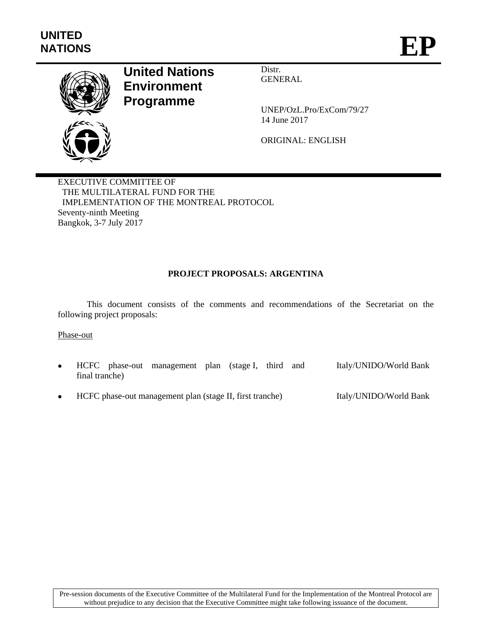

# **United Nations Environment Programme**

Distr. GENERAL

UNEP/OzL.Pro/ExCom/79/27 14 June 2017

ORIGINAL: ENGLISH

EXECUTIVE COMMITTEE OF THE MULTILATERAL FUND FOR THE IMPLEMENTATION OF THE MONTREAL PROTOCOL Seventy-ninth Meeting Bangkok, 3-7 July 2017

# **PROJECT PROPOSALS: ARGENTINA**

This document consists of the comments and recommendations of the Secretariat on the following project proposals:

#### Phase-out

- HCFC phase-out management plan (stage I, third and final tranche) Italy/UNIDO/World Bank
- HCFC phase-out management plan (stage II, first tranche) Italy/UNIDO/World Bank

Pre-session documents of the Executive Committee of the Multilateral Fund for the Implementation of the Montreal Protocol are without prejudice to any decision that the Executive Committee might take following issuance of the document.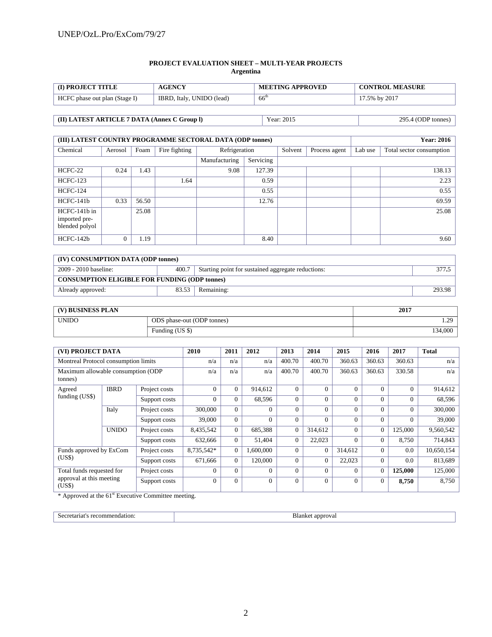#### **PROJECT EVALUATION SHEET – MULTI-YEAR PROJECTS Argentina**

| <b>ID PROJECT TITLE</b>       | <b>AGENCY</b>             | <b>MEETING APPROVED</b> | <b>CONTROL MEASURE</b> |
|-------------------------------|---------------------------|-------------------------|------------------------|
| HCFC phase out plan (Stage I) | IBRD, Italy, UNIDO (lead) | $66^{\circ}$            | 17.5% by 2017          |

| (II) LATEST ARTICLE 7 DATA (Annex C Group I) | Year: 2015 | 295.4 (ODP tonnes) |
|----------------------------------------------|------------|--------------------|

| (III) LATEST COUNTRY PROGRAMME SECTORAL DATA (ODP tonnes) |          |       |               |               |           |         |               |         | <b>Year: 2016</b>        |
|-----------------------------------------------------------|----------|-------|---------------|---------------|-----------|---------|---------------|---------|--------------------------|
| Chemical                                                  | Aerosol  | Foam  | Fire fighting | Refrigeration |           | Solvent | Process agent | Lab use | Total sector consumption |
|                                                           |          |       |               | Manufacturing | Servicing |         |               |         |                          |
| HCFC-22                                                   | 0.24     | 1.43  |               | 9.08          | 127.39    |         |               |         | 138.13                   |
| <b>HCFC-123</b>                                           |          |       | 1.64          |               | 0.59      |         |               |         | 2.23                     |
| <b>HCFC-124</b>                                           |          |       |               |               | 0.55      |         |               |         | 0.55                     |
| $HCFC-141b$                                               | 0.33     | 56.50 |               |               | 12.76     |         |               |         | 69.59                    |
| HCFC-141b in<br>imported pre-<br>blended polyol           |          | 25.08 |               |               |           |         |               |         | 25.08                    |
| $HCFC-142b$                                               | $\Omega$ | 1.19  |               |               | 8.40      |         |               |         | 9.60                     |

| (IV) CONSUMPTION DATA (ODP tonnes)                                                   |       |            |        |  |  |  |  |  |
|--------------------------------------------------------------------------------------|-------|------------|--------|--|--|--|--|--|
| 400.7<br>2009 - 2010 baseline:<br>Starting point for sustained aggregate reductions: |       |            |        |  |  |  |  |  |
| <b>CONSUMPTION ELIGIBLE FOR FUNDING (ODP tonnes)</b>                                 |       |            |        |  |  |  |  |  |
| Already approved:                                                                    | 83.53 | Remaining: | 293.98 |  |  |  |  |  |

| (V) BUSINESS PLAN | 2017                       |               |
|-------------------|----------------------------|---------------|
| <b>UNIDO</b>      | ODS phase-out (ODP tonnes) | 20<br><i></i> |
|                   | Funding (US \$)            | 134,000       |

| (VI) PROJECT DATA                             |              |               | 2010           | 2011         | 2012           | 2013     | 2014           | 2015     | 2016         | 2017     | <b>Total</b> |
|-----------------------------------------------|--------------|---------------|----------------|--------------|----------------|----------|----------------|----------|--------------|----------|--------------|
| Montreal Protocol consumption limits          |              |               | n/a            | n/a          | n/a            | 400.70   | 400.70         | 360.63   | 360.63       | 360.63   | n/a          |
| Maximum allowable consumption (ODP<br>tonnes) |              |               | n/a            | n/a          | n/a            | 400.70   | 400.70         | 360.63   | 360.63       | 330.58   | n/a          |
| Agreed                                        | <b>IBRD</b>  | Project costs | $\Omega$       | $\Omega$     | 914,612        | $\Omega$ | $\theta$       | $\Omega$ | $\Omega$     | $\Omega$ | 914,612      |
| funding (US\$)                                |              | Support costs | $\Omega$       | $\mathbf{0}$ | 68,596         | $\Omega$ | $\Omega$       | $\Omega$ | $\Omega$     | $\Omega$ | 68,596       |
|                                               | Italy        | Project costs | 300,000        | $\Omega$     | $\Omega$       | $\Omega$ | $\Omega$       | $\Omega$ | $\Omega$     | 0        | 300,000      |
|                                               |              | Support costs | 39,000         | $\Omega$     | $\Omega$       | $\Omega$ | $\Omega$       | $\Omega$ | $\Omega$     | $\Omega$ | 39,000       |
|                                               | <b>UNIDO</b> | Project costs | 8,435,542      | $\Omega$     | 685,388        | $\Omega$ | 314,612        | $\Omega$ | $\mathbf{0}$ | 125,000  | 9,560,542    |
|                                               |              | Support costs | 632,666        | $\Omega$     | 51,404         | $\Omega$ | 22,023         | $\Omega$ | $\Omega$     | 8,750    | 714,843      |
| Funds approved by ExCom                       |              | Project costs | 8,735,542*     | $\theta$     | 1,600,000      | $\Omega$ | $\mathbf{0}$   | 314,612  | $\Omega$     | $0.0\,$  | 10,650,154   |
| (USS)                                         |              | Support costs | 671.666        | $\Omega$     | 120,000        | $\Omega$ | $\Omega$       | 22,023   | $\Omega$     | 0.0      | 813,689      |
| Total funds requested for                     |              | Project costs | $\Omega$       | $\Omega$     | $\Omega$       | $\Omega$ | $\Omega$       | $\Omega$ | $\mathbf{0}$ | 125,000  | 125,000      |
| approval at this meeting<br>(US\$)            |              | Support costs | $\overline{0}$ | $\mathbf{0}$ | $\overline{0}$ | $\Omega$ | $\overline{0}$ | $\Omega$ | $\mathbf{0}$ | 8,750    | 8,750        |

\* Approved at the 61<sup>st</sup> Executive Committee meeting.

Secretariat's recommendation: Blanket approval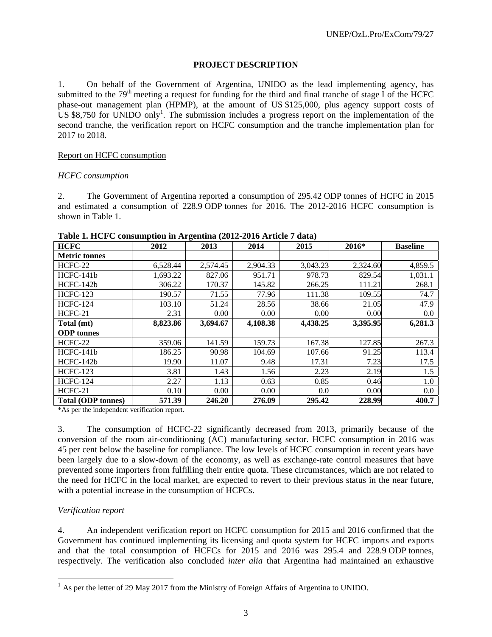#### **PROJECT DESCRIPTION**

1. On behalf of the Government of Argentina, UNIDO as the lead implementing agency, has submitted to the  $79<sup>th</sup>$  meeting a request for funding for the third and final tranche of stage I of the HCFC phase-out management plan (HPMP), at the amount of US \$125,000, plus agency support costs of US \$8,750 for UNIDO only<sup>1</sup>. The submission includes a progress report on the implementation of the second tranche, the verification report on HCFC consumption and the tranche implementation plan for 2017 to 2018.

#### Report on HCFC consumption

#### *HCFC consumption*

2. The Government of Argentina reported a consumption of 295.42 ODP tonnes of HCFC in 2015 and estimated a consumption of 228.9 ODP tonnes for 2016. The 2012-2016 HCFC consumption is shown in Table 1.

| <b>HCFC</b>               | 2012     | o<br>2013 | 2014     | 2015     | 2016*    | <b>Baseline</b> |
|---------------------------|----------|-----------|----------|----------|----------|-----------------|
| <b>Metric tonnes</b>      |          |           |          |          |          |                 |
| HCFC-22                   | 6,528.44 | 2,574.45  | 2,904.33 | 3,043.23 | 2,324.60 | 4,859.5         |
| HCFC-141b                 | 1,693.22 | 827.06    | 951.71   | 978.73   | 829.54   | 1,031.1         |
| HCFC-142b                 | 306.22   | 170.37    | 145.82   | 266.25   | 111.21   | 268.1           |
| <b>HCFC-123</b>           | 190.57   | 71.55     | 77.96    | 111.38   | 109.55   | 74.7            |
| <b>HCFC-124</b>           | 103.10   | 51.24     | 28.56    | 38.66    | 21.05    | 47.9            |
| HCFC-21                   | 2.31     | 0.00      | 0.00     | 0.00     | 0.00     | 0.0             |
| Total (mt)                | 8,823.86 | 3,694.67  | 4,108.38 | 4,438.25 | 3,395.95 | 6,281.3         |
| <b>ODP</b> tonnes         |          |           |          |          |          |                 |
| HCFC-22                   | 359.06   | 141.59    | 159.73   | 167.38   | 127.85   | 267.3           |
| HCFC-141b                 | 186.25   | 90.98     | 104.69   | 107.66   | 91.25    | 113.4           |
| $HCFC-142b$               | 19.90    | 11.07     | 9.48     | 17.31    | 7.23     | 17.5            |
| <b>HCFC-123</b>           | 3.81     | 1.43      | 1.56     | 2.23     | 2.19     | 1.5             |
| <b>HCFC-124</b>           | 2.27     | 1.13      | 0.63     | 0.85     | 0.46     | 1.0             |
| HCFC-21                   | 0.10     | 0.00      | 0.00     | 0.0      | 0.00     | 0.0             |
| <b>Total (ODP tonnes)</b> | 571.39   | 246.20    | 276.09   | 295.42   | 228.99   | 400.7           |

#### **Table 1. HCFC consumption in Argentina (2012-2016 Article 7 data)**

\*As per the independent verification report.

3. The consumption of HCFC-22 significantly decreased from 2013, primarily because of the conversion of the room air-conditioning (AC) manufacturing sector. HCFC consumption in 2016 was 45 per cent below the baseline for compliance. The low levels of HCFC consumption in recent years have been largely due to a slow-down of the economy, as well as exchange-rate control measures that have prevented some importers from fulfilling their entire quota. These circumstances, which are not related to the need for HCFC in the local market, are expected to revert to their previous status in the near future, with a potential increase in the consumption of HCFCs.

#### *Verification report*

-

4. An independent verification report on HCFC consumption for 2015 and 2016 confirmed that the Government has continued implementing its licensing and quota system for HCFC imports and exports and that the total consumption of HCFCs for 2015 and 2016 was 295.4 and 228.9 ODP tonnes, respectively. The verification also concluded *inter alia* that Argentina had maintained an exhaustive

 $<sup>1</sup>$  As per the letter of 29 May 2017 from the Ministry of Foreign Affairs of Argentina to UNIDO.</sup>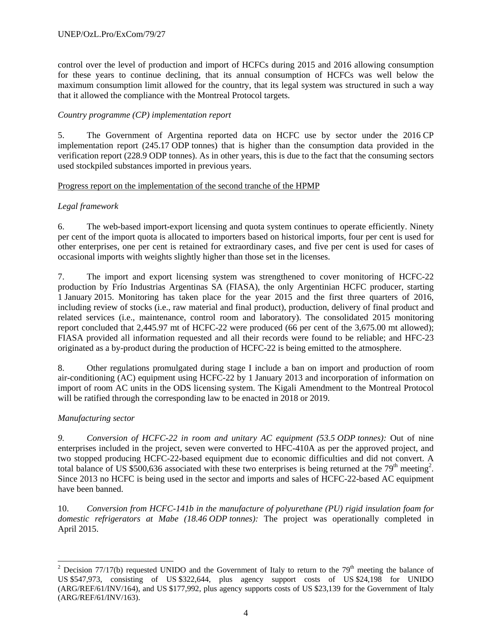control over the level of production and import of HCFCs during 2015 and 2016 allowing consumption for these years to continue declining, that its annual consumption of HCFCs was well below the maximum consumption limit allowed for the country, that its legal system was structured in such a way that it allowed the compliance with the Montreal Protocol targets.

## *Country programme (CP) implementation report*

5. The Government of Argentina reported data on HCFC use by sector under the 2016 CP implementation report (245.17 ODP tonnes) that is higher than the consumption data provided in the verification report (228.9 ODP tonnes). As in other years, this is due to the fact that the consuming sectors used stockpiled substances imported in previous years.

#### Progress report on the implementation of the second tranche of the HPMP

## *Legal framework*

6. The web-based import-export licensing and quota system continues to operate efficiently. Ninety per cent of the import quota is allocated to importers based on historical imports, four per cent is used for other enterprises, one per cent is retained for extraordinary cases, and five per cent is used for cases of occasional imports with weights slightly higher than those set in the licenses.

7. The import and export licensing system was strengthened to cover monitoring of HCFC-22 production by Frío Industrias Argentinas SA (FIASA), the only Argentinian HCFC producer, starting 1 January 2015. Monitoring has taken place for the year 2015 and the first three quarters of 2016, including review of stocks (i.e., raw material and final product), production, delivery of final product and related services (i.e., maintenance, control room and laboratory). The consolidated 2015 monitoring report concluded that 2,445.97 mt of HCFC-22 were produced (66 per cent of the 3,675.00 mt allowed); FIASA provided all information requested and all their records were found to be reliable; and HFC-23 originated as a by-product during the production of HCFC-22 is being emitted to the atmosphere.

8. Other regulations promulgated during stage I include a ban on import and production of room air-conditioning (AC) equipment using HCFC-22 by 1 January 2013 and incorporation of information on import of room AC units in the ODS licensing system. The Kigali Amendment to the Montreal Protocol will be ratified through the corresponding law to be enacted in 2018 or 2019.

#### *Manufacturing sector*

*9. Conversion of HCFC-22 in room and unitary AC equipment (53.5 ODP tonnes):* Out of nine enterprises included in the project, seven were converted to HFC-410A as per the approved project, and two stopped producing HCFC-22-based equipment due to economic difficulties and did not convert. A total balance of US \$500,636 associated with these two enterprises is being returned at the 79<sup>th</sup> meeting<sup>2</sup>. Since 2013 no HCFC is being used in the sector and imports and sales of HCFC-22-based AC equipment have been banned.

10. *Conversion from HCFC-141b in the manufacture of polyurethane (PU) rigid insulation foam for domestic refrigerators at Mabe (18.46 ODP tonnes):* The project was operationally completed in April 2015.

<sup>-</sup><sup>2</sup> Decision 77/17(b) requested UNIDO and the Government of Italy to return to the 79<sup>th</sup> meeting the balance of US \$547,973, consisting of US \$322,644, plus agency support costs of US \$24,198 for UNIDO (ARG/REF/61/INV/164), and US \$177,992, plus agency supports costs of US \$23,139 for the Government of Italy (ARG/REF/61/INV/163).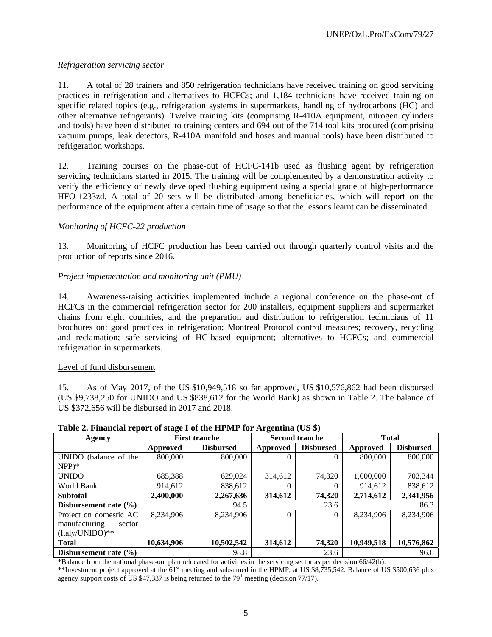## *Refrigeration servicing sector*

11. A total of 28 trainers and 850 refrigeration technicians have received training on good servicing practices in refrigeration and alternatives to HCFCs; and 1,184 technicians have received training on specific related topics (e.g., refrigeration systems in supermarkets, handling of hydrocarbons (HC) and other alternative refrigerants). Twelve training kits (comprising R-410A equipment, nitrogen cylinders and tools) have been distributed to training centers and 694 out of the 714 tool kits procured (comprising vacuum pumps, leak detectors, R-410A manifold and hoses and manual tools) have been distributed to refrigeration workshops.

12. Training courses on the phase-out of HCFC-141b used as flushing agent by refrigeration servicing technicians started in 2015. The training will be complemented by a demonstration activity to verify the efficiency of newly developed flushing equipment using a special grade of high-performance HFO-1233zd. A total of 20 sets will be distributed among beneficiaries, which will report on the performance of the equipment after a certain time of usage so that the lessons learnt can be disseminated.

## *Monitoring of HCFC-22 production*

13. Monitoring of HCFC production has been carried out through quarterly control visits and the production of reports since 2016.

## *Project implementation and monitoring unit (PMU)*

14. Awareness-raising activities implemented include a regional conference on the phase-out of HCFCs in the commercial refrigeration sector for 200 installers, equipment suppliers and supermarket chains from eight countries, and the preparation and distribution to refrigeration technicians of 11 brochures on: good practices in refrigeration; Montreal Protocol control measures; recovery, recycling and reclamation; safe servicing of HC-based equipment; alternatives to HCFCs; and commercial refrigeration in supermarkets.

#### Level of fund disbursement

15. As of May 2017, of the US \$10,949,518 so far approved, US \$10,576,862 had been disbursed (US \$9,738,250 for UNIDO and US \$838,612 for the World Bank) as shown in Table 2. The balance of US \$372,656 will be disbursed in 2017 and 2018.

|                           | Table 2. I mancial report of stage I of the III MI Tor Trigentina (CD $\psi$ ) |                      |                 |                       |              |                  |  |  |  |  |  |
|---------------------------|--------------------------------------------------------------------------------|----------------------|-----------------|-----------------------|--------------|------------------|--|--|--|--|--|
| Agency                    |                                                                                | <b>First tranche</b> |                 | <b>Second tranche</b> | <b>Total</b> |                  |  |  |  |  |  |
|                           | Approved                                                                       | <b>Disbursed</b>     | <b>Approved</b> | <b>Disbursed</b>      | Approved     | <b>Disbursed</b> |  |  |  |  |  |
| UNIDO (balance of the     | 800,000                                                                        | 800,000              |                 |                       | 800,000      | 800,000          |  |  |  |  |  |
| $NPP)*$                   |                                                                                |                      |                 |                       |              |                  |  |  |  |  |  |
| <b>UNIDO</b>              | 685,388                                                                        | 629,024              | 314,612         | 74.320                | 1,000,000    | 703,344          |  |  |  |  |  |
| World Bank                | 914,612                                                                        | 838,612              |                 |                       | 914,612      | 838,612          |  |  |  |  |  |
| <b>Subtotal</b>           | 2,400,000                                                                      | 2,267,636            | 314,612         | 74,320                | 2,714,612    | 2,341,956        |  |  |  |  |  |
| Disbursement rate $(\% )$ |                                                                                | 94.5                 |                 | 23.6                  |              | 86.3             |  |  |  |  |  |
| Project on domestic AC    | 8,234,906                                                                      | 8,234,906            | $\Omega$        | $\Omega$              | 8,234,906    | 8,234,906        |  |  |  |  |  |
| manufacturing<br>sector   |                                                                                |                      |                 |                       |              |                  |  |  |  |  |  |
| (Italy/UNIDO)**           |                                                                                |                      |                 |                       |              |                  |  |  |  |  |  |
| <b>Total</b>              | 10,634,906                                                                     | 10,502,542           | 314,612         | 74,320                | 10,949,518   | 10,576,862       |  |  |  |  |  |
| Disbursement rate $(\% )$ |                                                                                | 98.8                 |                 | 23.6                  |              | 96.6             |  |  |  |  |  |

**Table 2. Financial report of stage I of the HPMP for Argentina (US \$)** 

\*Balance from the national phase-out plan relocated for activities in the servicing sector as per decision 66/42(h).

\*\*Investment project approved at the 61<sup>st</sup> meeting and subsumed in the HPMP, at US \$8,735,542. Balance of US \$500,636 plus agency support costs of US \$47,337 is being returned to the  $79<sup>th</sup>$  meeting (decision 77/17).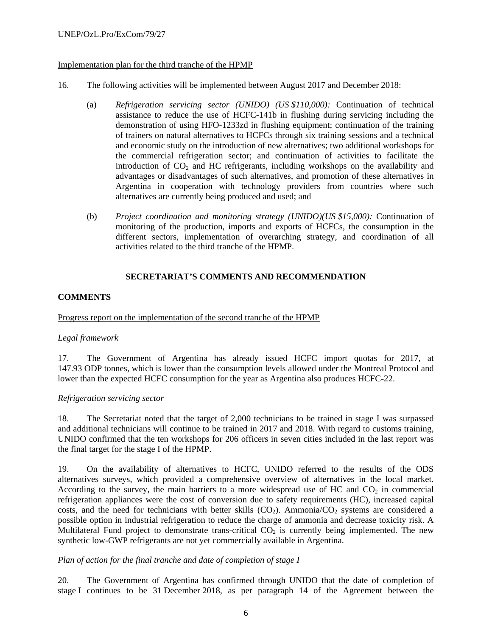## Implementation plan for the third tranche of the HPMP

- 16. The following activities will be implemented between August 2017 and December 2018:
	- (a) *Refrigeration servicing sector (UNIDO) (US \$110,000):* Continuation of technical assistance to reduce the use of HCFC-141b in flushing during servicing including the demonstration of using HFO-1233zd in flushing equipment; continuation of the training of trainers on natural alternatives to HCFCs through six training sessions and a technical and economic study on the introduction of new alternatives; two additional workshops for the commercial refrigeration sector; and continuation of activities to facilitate the introduction of  $CO<sub>2</sub>$  and HC refrigerants, including workshops on the availability and advantages or disadvantages of such alternatives, and promotion of these alternatives in Argentina in cooperation with technology providers from countries where such alternatives are currently being produced and used; and
	- (b) *Project coordination and monitoring strategy (UNIDO)(US \$15,000):* Continuation of monitoring of the production, imports and exports of HCFCs, the consumption in the different sectors, implementation of overarching strategy, and coordination of all activities related to the third tranche of the HPMP.

## **SECRETARIAT'S COMMENTS AND RECOMMENDATION**

#### **COMMENTS**

#### Progress report on the implementation of the second tranche of the HPMP

#### *Legal framework*

17. The Government of Argentina has already issued HCFC import quotas for 2017, at 147.93 ODP tonnes, which is lower than the consumption levels allowed under the Montreal Protocol and lower than the expected HCFC consumption for the year as Argentina also produces HCFC-22.

#### *Refrigeration servicing sector*

18. The Secretariat noted that the target of 2,000 technicians to be trained in stage I was surpassed and additional technicians will continue to be trained in 2017 and 2018. With regard to customs training, UNIDO confirmed that the ten workshops for 206 officers in seven cities included in the last report was the final target for the stage I of the HPMP.

19. On the availability of alternatives to HCFC, UNIDO referred to the results of the ODS alternatives surveys, which provided a comprehensive overview of alternatives in the local market. According to the survey, the main barriers to a more widespread use of HC and  $CO<sub>2</sub>$  in commercial refrigeration appliances were the cost of conversion due to safety requirements (HC), increased capital costs, and the need for technicians with better skills  $(CO_2)$ . Ammonia/ $CO_2$  systems are considered a possible option in industrial refrigeration to reduce the charge of ammonia and decrease toxicity risk. A Multilateral Fund project to demonstrate trans-critical  $CO<sub>2</sub>$  is currently being implemented. The new synthetic low-GWP refrigerants are not yet commercially available in Argentina.

#### *Plan of action for the final tranche and date of completion of stage I*

20. The Government of Argentina has confirmed through UNIDO that the date of completion of stage I continues to be 31 December 2018, as per paragraph 14 of the Agreement between the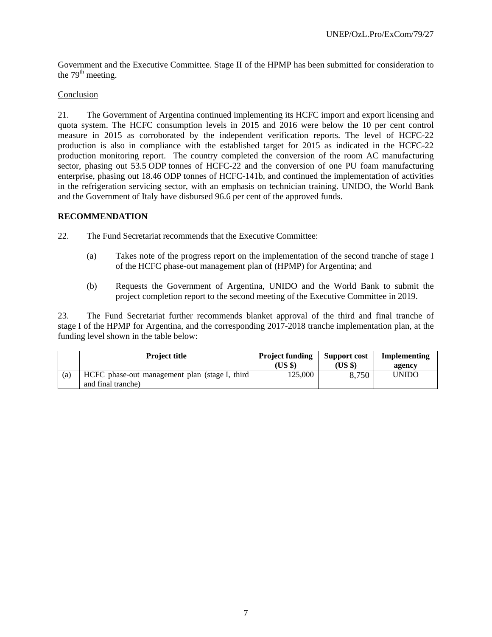Government and the Executive Committee. Stage II of the HPMP has been submitted for consideration to the 79<sup>th</sup> meeting.

## Conclusion

21. The Government of Argentina continued implementing its HCFC import and export licensing and quota system. The HCFC consumption levels in 2015 and 2016 were below the 10 per cent control measure in 2015 as corroborated by the independent verification reports. The level of HCFC-22 production is also in compliance with the established target for 2015 as indicated in the HCFC-22 production monitoring report. The country completed the conversion of the room AC manufacturing sector, phasing out 53.5 ODP tonnes of HCFC-22 and the conversion of one PU foam manufacturing enterprise, phasing out 18.46 ODP tonnes of HCFC-141b, and continued the implementation of activities in the refrigeration servicing sector, with an emphasis on technician training. UNIDO, the World Bank and the Government of Italy have disbursed 96.6 per cent of the approved funds.

#### **RECOMMENDATION**

22. The Fund Secretariat recommends that the Executive Committee:

- (a) Takes note of the progress report on the implementation of the second tranche of stage I of the HCFC phase-out management plan of (HPMP) for Argentina; and
- (b) Requests the Government of Argentina, UNIDO and the World Bank to submit the project completion report to the second meeting of the Executive Committee in 2019.

23. The Fund Secretariat further recommends blanket approval of the third and final tranche of stage I of the HPMP for Argentina, and the corresponding 2017-2018 tranche implementation plan, at the funding level shown in the table below:

|     | <b>Project title</b>                           | <b>Project funding</b> | Support cost | Implementing |
|-----|------------------------------------------------|------------------------|--------------|--------------|
|     |                                                | (USS)                  | (US \$)      | agency       |
| (a) | HCFC phase-out management plan (stage I, third | 125.000                | 8,750        | <b>UNIDO</b> |
|     | and final tranche)                             |                        |              |              |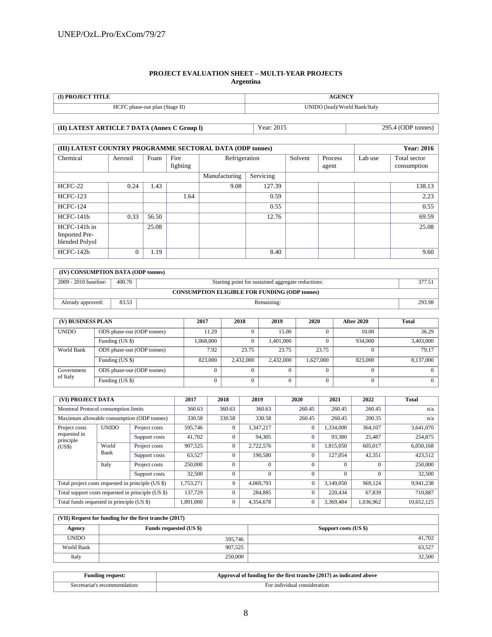#### **PROJECT EVALUATION SHEET – MULTI-YEAR PROJECTS Argentina**

| (I) PROJECT TITLE                            |                               | <b>AGENCY</b>      |  |  |
|----------------------------------------------|-------------------------------|--------------------|--|--|
| HCFC phase-out plan (Stage II)               | UNIDO (lead)/World Bank/Italy |                    |  |  |
|                                              |                               |                    |  |  |
| (II) LATEST ARTICLE 7 DATA (Annex C Group I) | Year: 2015                    | 295.4 (ODP tonnes) |  |  |

| (III) LATEST COUNTRY PROGRAMME SECTORAL DATA (ODP tonnes) |              | <b>Year: 2016</b> |                  |                            |        |         |                  |         |                             |
|-----------------------------------------------------------|--------------|-------------------|------------------|----------------------------|--------|---------|------------------|---------|-----------------------------|
| Chemical                                                  | Aerosol      | Foam              | Fire<br>fighting | Refrigeration              |        | Solvent | Process<br>agent | Lab use | Total sector<br>consumption |
|                                                           |              |                   |                  | Servicing<br>Manufacturing |        |         |                  |         |                             |
| HCFC-22                                                   | 0.24         | 1.43              |                  | 9.08                       | 127.39 |         |                  |         | 138.13                      |
| <b>HCFC-123</b>                                           |              |                   | 1.64             |                            | 0.59   |         |                  |         | 2.23                        |
| <b>HCFC-124</b>                                           |              |                   |                  |                            | 0.55   |         |                  |         | 0.55                        |
| $HCFC-141b$                                               | 0.33         | 56.50             |                  |                            | 12.76  |         |                  |         | 69.59                       |
| HCFC-141b in<br>Imported Pre-<br>blended Polyol           |              | 25.08             |                  |                            |        |         |                  |         | 25.08                       |
| HCFC-142b                                                 | $\mathbf{0}$ | 1.19              |                  |                            | 8.40   |         |                  |         | 9.60                        |

| (IV) CONSUMPTION DATA (ODP tonnes)                   |        |                                                    |        |  |  |  |  |
|------------------------------------------------------|--------|----------------------------------------------------|--------|--|--|--|--|
| 2009 - 2010 baseline:                                | 400.70 | Starting point for sustained aggregate reductions: | 377.51 |  |  |  |  |
| <b>CONSUMPTION ELIGIBLE FOR FUNDING (ODP tonnes)</b> |        |                                                    |        |  |  |  |  |
| Already approved:                                    | 83.53  | Remaining:                                         | 293.98 |  |  |  |  |

| (V) BUSINESS PLAN |                            | 2017      | 2018      | 2019      | 2020      | <b>After 2020</b> | Total     |
|-------------------|----------------------------|-----------|-----------|-----------|-----------|-------------------|-----------|
| <b>UNIDO</b>      | ODS phase-out (ODP tonnes) | 11.29     |           | 15.00     |           | 10.00             | 36.29     |
|                   | Funding (US \$)            | 1.068.000 |           | 1.401.000 |           | 934,000           | 3,403,000 |
| World Bank        | ODS phase-out (ODP tonnes) | 7.92      | 23.75     | 23.75     | 23.75     |                   | 79.17     |
|                   | Funding (US \$)            | 823,000   | 2,432,000 | 2.432,000 | 1,627,000 | 823,000           | 8,137,000 |
| Government        | ODS phase-out (ODP tonnes) |           |           |           |           |                   |           |
| of Italy          | Funding (US \$)            |           |           |           |           |                   |           |

| (VI) PROJECT DATA                                  |              | 2017                                       | 2018         | 2019         | 2020           | 2021         | 2022      | <b>Total</b> |            |
|----------------------------------------------------|--------------|--------------------------------------------|--------------|--------------|----------------|--------------|-----------|--------------|------------|
| Montreal Protocol consumption limits               |              |                                            | 360.63       | 360.63       | 360.63         | 260.45       | 260.45    | 260.45       | n/a        |
|                                                    |              | Maximum allowable consumption (ODP tonnes) | 330.58       | 330.58       | 330.58         | 260.45       | 260.45    | 200.35       | n/a        |
| Project costs                                      | <b>UNIDO</b> | Project costs                              | 595,746      | $\Omega$     | 1,347,217      | $\mathbf{0}$ | 1,334,000 | 364,107      | 3,641,070  |
| requested in<br>principle                          |              | Support costs                              | 41,702       | $\Omega$     | 94,305         | $\Omega$     | 93,380    | 25,487       | 254,875    |
| (US\$)                                             | World        | Project costs                              | 907.525      | $\mathbf{0}$ | 2,722,576      | $\mathbf{0}$ | 1,815,050 | 605,017      | 6,050,168  |
|                                                    | Bank         | Support costs                              | 63,527       | $\theta$     | 190,580        | $\Omega$     | 127,054   | 42,351       | 423,512    |
|                                                    | Italy        | Project costs                              | 250,000      | $\theta$     | $\Omega$       | $\theta$     | $\Omega$  |              | 250,000    |
|                                                    |              | Support costs                              | 32,500       |              | $\overline{0}$ | $\theta$     |           |              | 32,500     |
| Total project costs requested in principle (US \$) |              | 1,753,271                                  | $\mathbf{0}$ | 4,069,793    | $\mathbf{0}$   | 3,149,050    | 969,124   | 9,941,238    |            |
| Total support costs requested in principle (US \$) |              | 137,729                                    | $\Omega$     | 284,885      | $\Omega$       | 220,434      | 67,839    | 710,887      |            |
| Total funds requested in principle (US \$)         |              |                                            | 1,891,000    |              | 4,354,678      | $\mathbf{0}$ | 3,369,484 | 1,036,962    | 10,652,125 |

| (VII) Request for funding for the first tranche (2017) |                                |                       |  |  |  |  |  |  |
|--------------------------------------------------------|--------------------------------|-----------------------|--|--|--|--|--|--|
| Agency                                                 | <b>Funds requested (US \$)</b> | Support costs (US \$) |  |  |  |  |  |  |
| <b>UNIDO</b>                                           | 595,746                        | 41.702                |  |  |  |  |  |  |
| World Bank                                             | 907,525                        | 63,527                |  |  |  |  |  |  |
| Italy                                                  | 250,000                        | 32,500                |  |  |  |  |  |  |

| unding request:"              | Approval of funding for the first tranche (2017)<br>7) as indicated above |
|-------------------------------|---------------------------------------------------------------------------|
| Secretariat's recommendation: | For individual consideration                                              |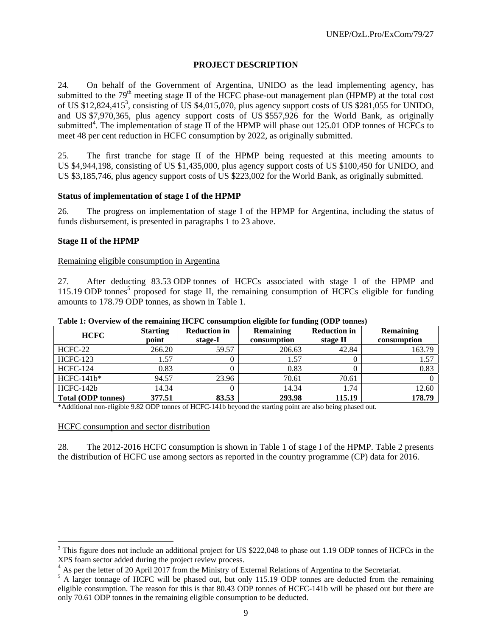## **PROJECT DESCRIPTION**

24. On behalf of the Government of Argentina, UNIDO as the lead implementing agency, has submitted to the 79<sup>th</sup> meeting stage II of the HCFC phase-out management plan (HPMP) at the total cost of US \$12,824,415<sup>3</sup>, consisting of US \$4,015,070, plus agency support costs of US \$281,055 for UNIDO, and US \$7,970,365, plus agency support costs of US \$557,926 for the World Bank, as originally submitted<sup>4</sup>. The implementation of stage II of the HPMP will phase out  $125.01$  ODP tonnes of HCFCs to meet 48 per cent reduction in HCFC consumption by 2022, as originally submitted.

25. The first tranche for stage II of the HPMP being requested at this meeting amounts to US \$4,944,198, consisting of US \$1,435,000, plus agency support costs of US \$100,450 for UNIDO, and US \$3,185,746, plus agency support costs of US \$223,002 for the World Bank, as originally submitted.

#### **Status of implementation of stage I of the HPMP**

26. The progress on implementation of stage I of the HPMP for Argentina, including the status of funds disbursement, is presented in paragraphs 1 to 23 above.

#### **Stage II of the HPMP**

#### Remaining eligible consumption in Argentina

27. After deducting 83.53 ODP tonnes of HCFCs associated with stage I of the HPMP and 115.19 ODP tonnes<sup>5</sup> proposed for stage II, the remaining consumption of HCFCs eligible for funding amounts to 178.79 ODP tonnes, as shown in Table 1.

| - While It U . VI . IV  VI YALV I WALLWALLATE |                          | ----------------------         |                                 | $\frac{1}{2}$                   |                                 |
|-----------------------------------------------|--------------------------|--------------------------------|---------------------------------|---------------------------------|---------------------------------|
| <b>HCFC</b>                                   | <b>Starting</b><br>point | <b>Reduction in</b><br>stage-I | <b>Remaining</b><br>consumption | <b>Reduction in</b><br>stage II | <b>Remaining</b><br>consumption |
| HCFC-22                                       | 266.20                   | 59.57                          | 206.63                          | 42.84                           | 163.79                          |
| <b>HCFC-123</b>                               | 1.57                     |                                | 1.57                            |                                 | 1.57                            |
| <b>HCFC-124</b>                               | 0.83                     |                                | 0.83                            |                                 | 0.83                            |
| $HCFC-141b*$                                  | 94.57                    | 23.96                          | 70.61                           | 70.61                           |                                 |
| HCFC-142b                                     | 14.34                    |                                | 14.34                           | 1.74                            | 12.60                           |
| <b>Total (ODP tonnes)</b>                     | 377.51                   | 83.53                          | 293.98                          | 115.19                          | 178.79                          |

**Table 1: Overview of the remaining HCFC consumption eligible for funding (ODP tonnes)** 

\*Additional non-eligible 9.82 ODP tonnes of HCFC-141b beyond the starting point are also being phased out.

HCFC consumption and sector distribution

l

28. The 2012-2016 HCFC consumption is shown in Table 1 of stage I of the HPMP. Table 2 presents the distribution of HCFC use among sectors as reported in the country programme (CP) data for 2016.

 $3$  This figure does not include an additional project for US \$222,048 to phase out 1.19 ODP tonnes of HCFCs in the XPS foam sector added during the project review process.

<sup>&</sup>lt;sup>4</sup> As per the letter of 20 April 2017 from the Ministry of External Relations of Argentina to the Secretariat.

<sup>&</sup>lt;sup>5</sup> A larger tonnage of HCFC will be phased out, but only 115.19 ODP tonnes are deducted from the remaining eligible consumption. The reason for this is that 80.43 ODP tonnes of HCFC-141b will be phased out but there are only 70.61 ODP tonnes in the remaining eligible consumption to be deducted.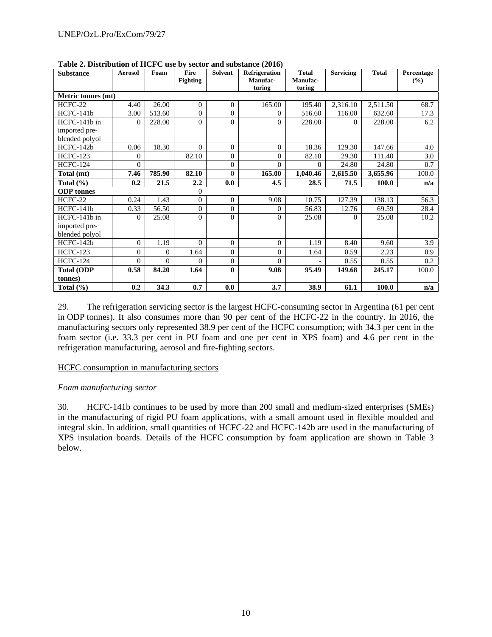| <b>Substance</b>   | <b>Aerosol</b> | Foam     | Fire<br><b>Fighting</b> | <b>Solvent</b> | <b>Refrigeration</b><br>Manufac- | <b>Total</b><br>Manufac- | <b>Servicing</b> | <b>Total</b> | Percentage<br>(%) |
|--------------------|----------------|----------|-------------------------|----------------|----------------------------------|--------------------------|------------------|--------------|-------------------|
| Metric tonnes (mt) |                |          |                         |                | turing                           | turing                   |                  |              |                   |
| $HCFC-22$          | 4.40           | 26.00    | $\overline{0}$          | $\overline{0}$ | 165.00                           | 195.40                   | 2,316.10         | 2,511.50     | 68.7              |
| HCFC-141b          | 3.00           | 513.60   | $\overline{0}$          | $\overline{0}$ | $\Omega$                         | 516.60                   | 116.00           | 632.60       | 17.3              |
| HCFC-141b in       | $\Omega$       | 228.00   | $\theta$                | $\theta$       | $\Omega$                         | 228.00                   | $\Omega$         | 228.00       | 6.2               |
| imported pre-      |                |          |                         |                |                                  |                          |                  |              |                   |
| blended polyol     |                |          |                         |                |                                  |                          |                  |              |                   |
| HCFC-142b          | 0.06           | 18.30    | $\Omega$                | $\theta$       | $\Omega$                         | 18.36                    | 129.30           | 147.66       | 4.0               |
| <b>HCFC-123</b>    | $\Omega$       |          | 82.10                   | $\theta$       | $\Omega$                         | 82.10                    | 29.30            | 111.40       | 3.0               |
| <b>HCFC-124</b>    | $\Omega$       |          |                         | $\overline{0}$ | $\Omega$                         | $\Omega$                 | 24.80            | 24.80        | 0.7               |
| Total (mt)         | 7.46           | 785.90   | 82.10                   | $\theta$       | 165.00                           | 1,040.46                 | 2,615.50         | 3,655.96     | 100.0             |
| Total $(\% )$      | 0.2            | 21.5     | $2.2\,$                 | 0.0            | 4.5                              | 28.5                     | 71.5             | 100.0        | n/a               |
| <b>ODP</b> tonnes  |                |          | $\overline{0}$          |                |                                  |                          |                  |              |                   |
| $HCFC-22$          | 0.24           | 1.43     | $\mathbf{0}$            | $\overline{0}$ | 9.08                             | 10.75                    | 127.39           | 138.13       | 56.3              |
| HCFC-141b          | 0.33           | 56.50    | $\overline{0}$          | $\mathbf{0}$   | $\Omega$                         | 56.83                    | 12.76            | 69.59        | 28.4              |
| HCFC-141b in       | $\Omega$       | 25.08    | $\theta$                | $\theta$       | $\Omega$                         | 25.08                    | $\Omega$         | 25.08        | 10.2              |
| imported pre-      |                |          |                         |                |                                  |                          |                  |              |                   |
| blended polyol     |                |          |                         |                |                                  |                          |                  |              |                   |
| HCFC-142b          | $\Omega$       | 1.19     | $\Omega$                | $\theta$       | $\Omega$                         | 1.19                     | 8.40             | 9.60         | 3.9               |
| <b>HCFC-123</b>    | $\Omega$       | 0        | 1.64                    | $\overline{0}$ | $\Omega$                         | 1.64                     | 0.59             | 2.23         | 0.9               |
| <b>HCFC-124</b>    | $\Omega$       | $\Omega$ | $\Omega$                | $\theta$       | $\Omega$                         |                          | 0.55             | 0.55         | 0.2               |
| <b>Total (ODP</b>  | 0.58           | 84.20    | 1.64                    | $\bf{0}$       | 9.08                             | 95.49                    | 149.68           | 245.17       | 100.0             |
| (tonnes)           |                |          |                         |                |                                  |                          |                  |              |                   |
| Total $(\% )$      | 0.2            | 34.3     | 0.7                     | 0.0            | 3.7                              | 38.9                     | 61.1             | 100.0        | n/a               |

**Table 2. Distribution of HCFC use by sector and substance (2016)** 

29. The refrigeration servicing sector is the largest HCFC-consuming sector in Argentina (61 per cent in ODP tonnes). It also consumes more than 90 per cent of the HCFC-22 in the country. In 2016, the manufacturing sectors only represented 38.9 per cent of the HCFC consumption; with 34.3 per cent in the foam sector (i.e. 33.3 per cent in PU foam and one per cent in XPS foam) and 4.6 per cent in the refrigeration manufacturing, aerosol and fire-fighting sectors.

# HCFC consumption in manufacturing sectors

#### *Foam manufacturing sector*

30. HCFC-141b continues to be used by more than 200 small and medium-sized enterprises (SMEs) in the manufacturing of rigid PU foam applications, with a small amount used in flexible moulded and integral skin. In addition, small quantities of HCFC-22 and HCFC-142b are used in the manufacturing of XPS insulation boards. Details of the HCFC consumption by foam application are shown in Table 3 below.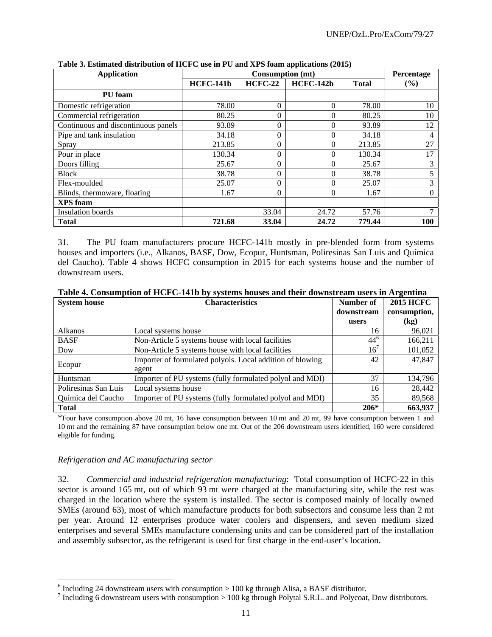| <b>Application</b>                  |                  | <b>Consumption (mt)</b> |                  |              | Percentage |
|-------------------------------------|------------------|-------------------------|------------------|--------------|------------|
|                                     | <b>HCFC-141b</b> | <b>HCFC-22</b>          | <b>HCFC-142b</b> | <b>Total</b> | (%)        |
| PU foam                             |                  |                         |                  |              |            |
| Domestic refrigeration              | 78.00            | $\theta$                | $\Omega$         | 78.00        | 10         |
| Commercial refrigeration            | 80.25            | $\theta$                | $\Omega$         | 80.25        | 10         |
| Continuous and discontinuous panels | 93.89            | $\mathbf{0}$            | $\Omega$         | 93.89        | 12         |
| Pipe and tank insulation            | 34.18            | $\theta$                | $\Omega$         | 34.18        | 4          |
| Spray                               | 213.85           | $\overline{0}$          | $\Omega$         | 213.85       | 27         |
| Pour in place                       | 130.34           | $\theta$                | $\Omega$         | 130.34       | 17         |
| Doors filling                       | 25.67            | $\Omega$                | $\Omega$         | 25.67        | 3          |
| <b>Block</b>                        | 38.78            | $\overline{0}$          | $\Omega$         | 38.78        | 5          |
| Flex-moulded                        | 25.07            | $\theta$                | $\Omega$         | 25.07        | 3          |
| Blinds, thermoware, floating        | 1.67             | $\theta$                | $\Omega$         | 1.67         | $\Omega$   |
| <b>XPS</b> foam                     |                  |                         |                  |              |            |
| Insulation boards                   |                  | 33.04                   | 24.72            | 57.76        |            |
| <b>Total</b>                        | 721.68           | 33.04                   | 24.72            | 779.44       | 100        |

**Table 3. Estimated distribution of HCFC use in PU and XPS foam applications (2015)**

31. The PU foam manufacturers procure HCFC-141b mostly in pre-blended form from systems houses and importers (i.e., Alkanos, BASF, Dow, Ecopur, Huntsman, Poliresinas San Luis and Química del Caucho). Table 4 shows HCFC consumption in 2015 for each systems house and the number of downstream users.

| <b>System house</b>  | <b>Characteristics</b>                                    | Number of    | <b>2015 HCFC</b>           |
|----------------------|-----------------------------------------------------------|--------------|----------------------------|
|                      |                                                           | downstream   | consumption,               |
|                      |                                                           | users        | $\left(\mathrm{kg}\right)$ |
| <b>Alkanos</b>       | Local systems house                                       | 16           | 96,021                     |
| <b>BASF</b>          | Non-Article 5 systems house with local facilities         | $44^{\circ}$ | 166,211                    |
| Dow                  | Non-Article 5 systems house with local facilities         | 16'          | 101,052                    |
|                      | Importer of formulated polyols. Local addition of blowing | 42           | 47,847                     |
| Ecopur               | agent                                                     |              |                            |
| Huntsman             | Importer of PU systems (fully formulated polyol and MDI)  | 37           | 134,796                    |
| Poliresinas San Luis | Local systems house                                       | 16           | 28,442                     |
| Química del Caucho   | Importer of PU systems (fully formulated polyol and MDI)  | 35           | 89,568                     |
| <b>Total</b>         |                                                           | $206*$       | 663,937                    |

**Table 4. Consumption of HCFC-141b by systems houses and their downstream users in Argentina** 

\*Four have consumption above 20 mt, 16 have consumption between 10 mt and 20 mt, 99 have consumption between 1 and 10 mt and the remaining 87 have consumption below one mt. Out of the 206 downstream users identified, 160 were considered eligible for funding.

#### *Refrigeration and AC manufacturing sector*

l

32. *Commercial and industrial refrigeration manufacturing*: Total consumption of HCFC-22 in this sector is around 165 mt, out of which 93 mt were charged at the manufacturing site, while the rest was charged in the location where the system is installed. The sector is composed mainly of locally owned SMEs (around 63), most of which manufacture products for both subsectors and consume less than 2 mt per year. Around 12 enterprises produce water coolers and dispensers, and seven medium sized enterprises and several SMEs manufacture condensing units and can be considered part of the installation and assembly subsector, as the refrigerant is used for first charge in the end-user's location.

 $6$  Including 24 downstream users with consumption  $> 100$  kg through Alisa, a BASF distributor.

<sup>&</sup>lt;sup>7</sup> Including 6 downstream users with consumption  $> 100$  kg through Polytal S.R.L. and Polycoat, Dow distributors.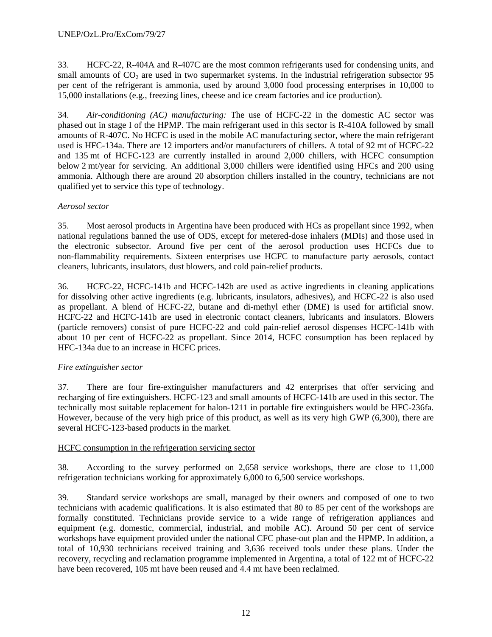33. HCFC-22, R-404A and R-407C are the most common refrigerants used for condensing units, and small amounts of  $CO<sub>2</sub>$  are used in two supermarket systems. In the industrial refrigeration subsector 95 per cent of the refrigerant is ammonia, used by around 3,000 food processing enterprises in 10,000 to 15,000 installations (e.g., freezing lines, cheese and ice cream factories and ice production).

34. *Air-conditioning (AC) manufacturing:* The use of HCFC-22 in the domestic AC sector was phased out in stage I of the HPMP. The main refrigerant used in this sector is R-410A followed by small amounts of R-407C. No HCFC is used in the mobile AC manufacturing sector, where the main refrigerant used is HFC-134a. There are 12 importers and/or manufacturers of chillers. A total of 92 mt of HCFC-22 and 135 mt of HCFC-123 are currently installed in around 2,000 chillers, with HCFC consumption below 2 mt/year for servicing. An additional 3,000 chillers were identified using HFCs and 200 using ammonia. Although there are around 20 absorption chillers installed in the country, technicians are not qualified yet to service this type of technology.

# *Aerosol sector*

35. Most aerosol products in Argentina have been produced with HCs as propellant since 1992, when national regulations banned the use of ODS, except for metered-dose inhalers (MDIs) and those used in the electronic subsector. Around five per cent of the aerosol production uses HCFCs due to non-flammability requirements. Sixteen enterprises use HCFC to manufacture party aerosols, contact cleaners, lubricants, insulators, dust blowers, and cold pain-relief products.

36. HCFC-22, HCFC-141b and HCFC-142b are used as active ingredients in cleaning applications for dissolving other active ingredients (e.g. lubricants, insulators, adhesives), and HCFC-22 is also used as propellant. A blend of HCFC-22, butane and di-methyl ether (DME) is used for artificial snow. HCFC-22 and HCFC-141b are used in electronic contact cleaners, lubricants and insulators. Blowers (particle removers) consist of pure HCFC-22 and cold pain-relief aerosol dispenses HCFC-141b with about 10 per cent of HCFC-22 as propellant. Since 2014, HCFC consumption has been replaced by HFC-134a due to an increase in HCFC prices.

# *Fire extinguisher sector*

37. There are four fire-extinguisher manufacturers and 42 enterprises that offer servicing and recharging of fire extinguishers. HCFC-123 and small amounts of HCFC-141b are used in this sector. The technically most suitable replacement for halon-1211 in portable fire extinguishers would be HFC-236fa. However, because of the very high price of this product, as well as its very high GWP (6,300), there are several HCFC-123-based products in the market.

#### HCFC consumption in the refrigeration servicing sector

38. According to the survey performed on 2,658 service workshops, there are close to 11,000 refrigeration technicians working for approximately 6,000 to 6,500 service workshops.

39. Standard service workshops are small, managed by their owners and composed of one to two technicians with academic qualifications. It is also estimated that 80 to 85 per cent of the workshops are formally constituted. Technicians provide service to a wide range of refrigeration appliances and equipment (e.g. domestic, commercial, industrial, and mobile AC). Around 50 per cent of service workshops have equipment provided under the national CFC phase-out plan and the HPMP. In addition, a total of 10,930 technicians received training and 3,636 received tools under these plans. Under the recovery, recycling and reclamation programme implemented in Argentina, a total of 122 mt of HCFC-22 have been recovered, 105 mt have been reused and 4.4 mt have been reclaimed.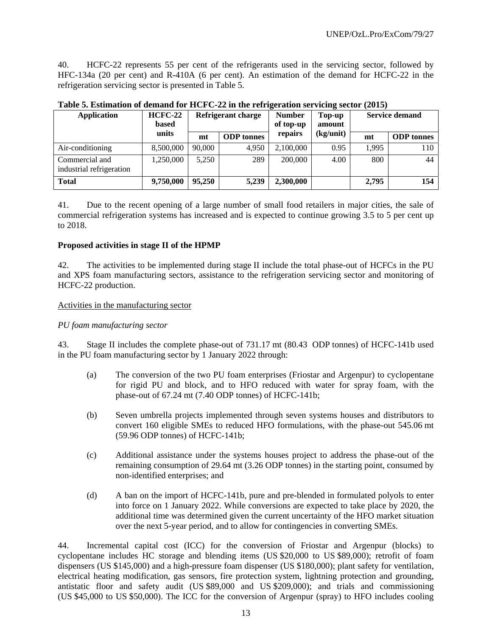40. HCFC-22 represents 55 per cent of the refrigerants used in the servicing sector, followed by HFC-134a (20 per cent) and R-410A (6 per cent). An estimation of the demand for HCFC-22 in the refrigeration servicing sector is presented in Table 5.

| <b>Application</b>                         | $HCFC-22$<br><b>based</b> | Refrigerant charge |                   | <b>Number</b><br>of top-up | Top-up<br>amount | <b>Service demand</b> |                   |
|--------------------------------------------|---------------------------|--------------------|-------------------|----------------------------|------------------|-----------------------|-------------------|
|                                            | units                     | mt                 | <b>ODP</b> tonnes | repairs                    | (kg/unit)        | mt                    | <b>ODP</b> tonnes |
| Air-conditioning                           | 8,500,000                 | 90,000             | 4.950             | 2,100,000                  | 0.95             | 1.995                 | 110               |
| Commercial and<br>industrial refrigeration | 1,250,000                 | 5.250              | 289               | 200,000                    | 4.00             | 800                   | 44                |
| <b>Total</b>                               | 9,750,000                 | 95,250             | 5,239             | 2,300,000                  |                  | 2,795                 | 154               |

**Table 5. Estimation of demand for HCFC-22 in the refrigeration servicing sector (2015)** 

41. Due to the recent opening of a large number of small food retailers in major cities, the sale of commercial refrigeration systems has increased and is expected to continue growing 3.5 to 5 per cent up to 2018.

#### **Proposed activities in stage II of the HPMP**

42. The activities to be implemented during stage II include the total phase-out of HCFCs in the PU and XPS foam manufacturing sectors, assistance to the refrigeration servicing sector and monitoring of HCFC-22 production.

#### Activities in the manufacturing sector

#### *PU foam manufacturing sector*

43. Stage II includes the complete phase-out of 731.17 mt (80.43 ODP tonnes) of HCFC-141b used in the PU foam manufacturing sector by 1 January 2022 through:

- (a) The conversion of the two PU foam enterprises (Friostar and Argenpur) to cyclopentane for rigid PU and block, and to HFO reduced with water for spray foam, with the phase-out of 67.24 mt (7.40 ODP tonnes) of HCFC-141b;
- (b) Seven umbrella projects implemented through seven systems houses and distributors to convert 160 eligible SMEs to reduced HFO formulations, with the phase-out 545.06 mt (59.96 ODP tonnes) of HCFC-141b;
- (c) Additional assistance under the systems houses project to address the phase-out of the remaining consumption of 29.64 mt (3.26 ODP tonnes) in the starting point, consumed by non-identified enterprises; and
- (d) A ban on the import of HCFC-141b, pure and pre-blended in formulated polyols to enter into force on 1 January 2022. While conversions are expected to take place by 2020, the additional time was determined given the current uncertainty of the HFO market situation over the next 5-year period, and to allow for contingencies in converting SMEs.

44. Incremental capital cost (ICC) for the conversion of Friostar and Argenpur (blocks) to cyclopentane includes HC storage and blending items (US \$20,000 to US \$89,000); retrofit of foam dispensers (US \$145,000) and a high-pressure foam dispenser (US \$180,000); plant safety for ventilation, electrical heating modification, gas sensors, fire protection system, lightning protection and grounding, antistatic floor and safety audit (US \$89,000 and US \$209,000); and trials and commissioning (US \$45,000 to US \$50,000). The ICC for the conversion of Argenpur (spray) to HFO includes cooling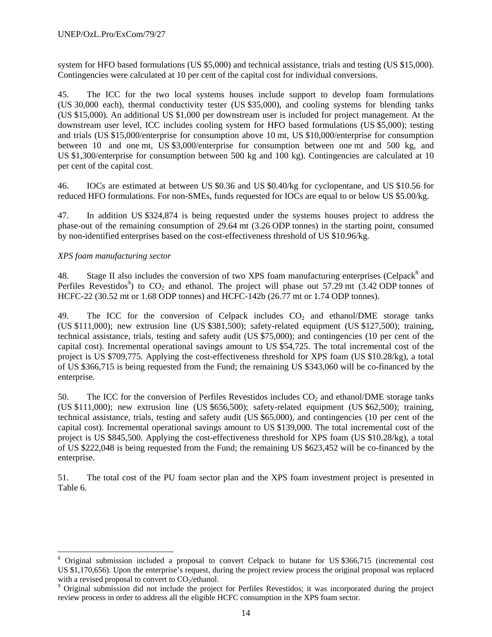system for HFO based formulations (US \$5,000) and technical assistance, trials and testing (US \$15,000). Contingencies were calculated at 10 per cent of the capital cost for individual conversions.

45. The ICC for the two local systems houses include support to develop foam formulations (US 30,000 each), thermal conductivity tester (US \$35,000), and cooling systems for blending tanks (US \$15,000). An additional US \$1,000 per downstream user is included for project management. At the downstream user level, ICC includes cooling system for HFO based formulations (US \$5,000); testing and trials (US \$15,000/enterprise for consumption above 10 mt, US \$10,000/enterprise for consumption between 10 and one mt, US \$3,000/enterprise for consumption between one mt and 500 kg, and US \$1,300/enterprise for consumption between 500 kg and 100 kg). Contingencies are calculated at 10 per cent of the capital cost.

46. IOCs are estimated at between US \$0.36 and US \$0.40/kg for cyclopentane, and US \$10.56 for reduced HFO formulations. For non-SMEs, funds requested for IOCs are equal to or below US \$5.00/kg.

47. In addition US \$324,874 is being requested under the systems houses project to address the phase-out of the remaining consumption of 29.64 mt (3.26 ODP tonnes) in the starting point, consumed by non-identified enterprises based on the cost-effectiveness threshold of US \$10.96/kg.

## *XPS foam manufacturing sector*

l

48. Stage II also includes the conversion of two XPS foam manufacturing enterprises (Celpack<sup>8</sup> and Perfiles Revestidos<sup>9</sup>) to  $CO_2$  and ethanol. The project will phase out 57.29 mt (3.42 ODP tonnes of HCFC-22 (30.52 mt or 1.68 ODP tonnes) and HCFC-142b (26.77 mt or 1.74 ODP tonnes).

49. The ICC for the conversion of Celpack includes  $CO<sub>2</sub>$  and ethanol/DME storage tanks (US \$111,000); new extrusion line (US \$381,500); safety-related equipment (US \$127,500); training, technical assistance, trials, testing and safety audit (US \$75,000); and contingencies (10 per cent of the capital cost). Incremental operational savings amount to US \$54,725. The total incremental cost of the project is US \$709,775. Applying the cost-effectiveness threshold for XPS foam (US \$10.28/kg), a total of US \$366,715 is being requested from the Fund; the remaining US \$343,060 will be co-financed by the enterprise.

50. The ICC for the conversion of Perfiles Revestidos includes  $CO<sub>2</sub>$  and ethanol/DME storage tanks (US \$111,000); new extrusion line (US \$656,500); safety-related equipment (US \$62,500); training, technical assistance, trials, testing and safety audit (US \$65,000), and contingencies (10 per cent of the capital cost). Incremental operational savings amount to US \$139,000. The total incremental cost of the project is US \$845,500. Applying the cost-effectiveness threshold for XPS foam (US \$10.28/kg), a total of US \$222,048 is being requested from the Fund; the remaining US \$623,452 will be co-financed by the enterprise.

51. The total cost of the PU foam sector plan and the XPS foam investment project is presented in Table 6.

<sup>8</sup> Original submission included a proposal to convert Celpack to butane for US \$366,715 (incremental cost US \$1,170,656). Upon the enterprise's request, during the project review process the original proposal was replaced with a revised proposal to convert to  $CO<sub>2</sub>/ethanol$ .

<sup>&</sup>lt;sup>9</sup> Original submission did not include the project for Perfiles Revestidos; it was incorporated during the project review process in order to address all the eligible HCFC consumption in the XPS foam sector.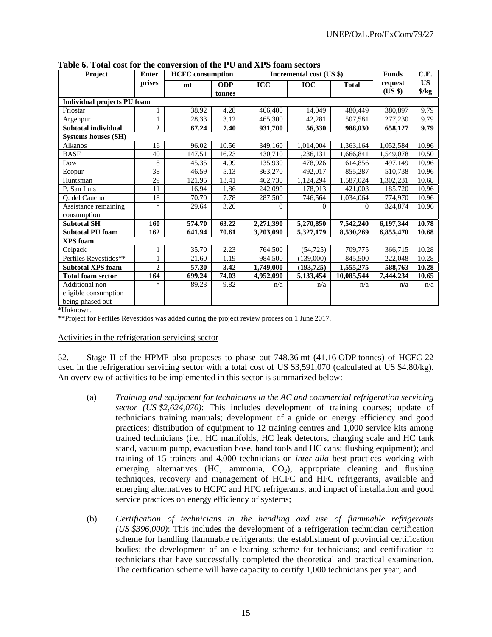| Project                            | <b>Enter</b>   | <b>HCFC</b> consumption |            |            | Incremental cost (US \$) |              |           | C.E.          |
|------------------------------------|----------------|-------------------------|------------|------------|--------------------------|--------------|-----------|---------------|
|                                    | prises         | mt                      | <b>ODP</b> | <b>ICC</b> | <b>IOC</b>               | <b>Total</b> | request   | <b>US</b>     |
|                                    |                |                         | tonnes     |            |                          |              | (US \$)   | $\frac{f}{g}$ |
| <b>Individual projects PU foam</b> |                |                         |            |            |                          |              |           |               |
| Friostar                           |                | 38.92                   | 4.28       | 466,400    | 14,049                   | 480,449      | 380,897   | 9.79          |
| Argenpur                           |                | 28.33                   | 3.12       | 465,300    | 42,281                   | 507,581      | 277,230   | 9.79          |
| Subtotal individual                | $\overline{2}$ | 67.24                   | 7.40       | 931,700    | 56,330                   | 988,030      | 658,127   | 9.79          |
| <b>Systems houses (SH)</b>         |                |                         |            |            |                          |              |           |               |
| Alkanos                            | 16             | 96.02                   | 10.56      | 349,160    | 1,014,004                | 1,363,164    | 1,052,584 | 10.96         |
| <b>BASF</b>                        | 40             | 147.51                  | 16.23      | 430,710    | 1,236,131                | 1,666,841    | 1,549,078 | 10.50         |
| Dow                                | 8              | 45.35                   | 4.99       | 135,930    | 478,926                  | 614,856      | 497,149   | 10.96         |
| Ecopur                             | 38             | 46.59                   | 5.13       | 363,270    | 492,017                  | 855,287      | 510,738   | 10.96         |
| Huntsman                           | 29             | 121.95                  | 13.41      | 462,730    | 1,124,294                | 1,587,024    | 1,302,231 | 10.68         |
| P. San Luis                        | 11             | 16.94                   | 1.86       | 242,090    | 178,913                  | 421,003      | 185,720   | 10.96         |
| Q. del Caucho                      | 18             | 70.70                   | 7.78       | 287,500    | 746,564                  | 1,034,064    | 774,970   | 10.96         |
| Assistance remaining               | *              | 29.64                   | 3.26       | 0          | $\Omega$                 | $\Omega$     | 324,874   | 10.96         |
| consumption                        |                |                         |            |            |                          |              |           |               |
| <b>Subtotal SH</b>                 | 160            | 574.70                  | 63.22      | 2,271,390  | 5,270,850                | 7,542,240    | 6,197,344 | 10.78         |
| <b>Subtotal PU foam</b>            | 162            | 641.94                  | 70.61      | 3,203,090  | 5,327,179                | 8,530,269    | 6,855,470 | 10.68         |
| <b>XPS</b> foam                    |                |                         |            |            |                          |              |           |               |
| Celpack                            | 1              | 35.70                   | 2.23       | 764,500    | (54, 725)                | 709,775      | 366,715   | 10.28         |
| Perfiles Revestidos**              |                | 21.60                   | 1.19       | 984,500    | (139,000)                | 845,500      | 222,048   | 10.28         |
| <b>Subtotal XPS foam</b>           | $\overline{2}$ | 57.30                   | 3.42       | 1,749,000  | (193, 725)               | 1,555,275    | 588,763   | 10.28         |
| <b>Total foam sector</b>           | 164            | 699.24                  | 74.03      | 4,952,090  | 5,133,454                | 10,085,544   | 7,444,234 | 10.65         |
| Additional non-                    | $\ast$         | 89.23                   | 9.82       | n/a        | n/a                      | n/a          | n/a       | n/a           |
| eligible consumption               |                |                         |            |            |                          |              |           |               |
| being phased out                   |                |                         |            |            |                          |              |           |               |

**Table 6. Total cost for the conversion of the PU and XPS foam sectors** 

\*Unknown.

\*\*Project for Perfiles Revestidos was added during the project review process on 1 June 2017.

#### Activities in the refrigeration servicing sector

52. Stage II of the HPMP also proposes to phase out 748.36 mt (41.16 ODP tonnes) of HCFC-22 used in the refrigeration servicing sector with a total cost of US \$3,591,070 (calculated at US \$4.80/kg). An overview of activities to be implemented in this sector is summarized below:

- (a) *Training and equipment for technicians in the AC and commercial refrigeration servicing sector (US \$2,624,070)*: This includes development of training courses; update of technicians training manuals; development of a guide on energy efficiency and good practices; distribution of equipment to 12 training centres and 1,000 service kits among trained technicians (i.e., HC manifolds, HC leak detectors, charging scale and HC tank stand, vacuum pump, evacuation hose, hand tools and HC cans; flushing equipment); and training of 15 trainers and 4,000 technicians on *inter-alia* best practices working with emerging alternatives (HC, ammonia,  $CO<sub>2</sub>$ ), appropriate cleaning and flushing techniques, recovery and management of HCFC and HFC refrigerants, available and emerging alternatives to HCFC and HFC refrigerants, and impact of installation and good service practices on energy efficiency of systems;
- (b) *Certification of technicians in the handling and use of flammable refrigerants (US \$396,000)*: This includes the development of a refrigeration technician certification scheme for handling flammable refrigerants; the establishment of provincial certification bodies; the development of an e-learning scheme for technicians; and certification to technicians that have successfully completed the theoretical and practical examination. The certification scheme will have capacity to certify 1,000 technicians per year; and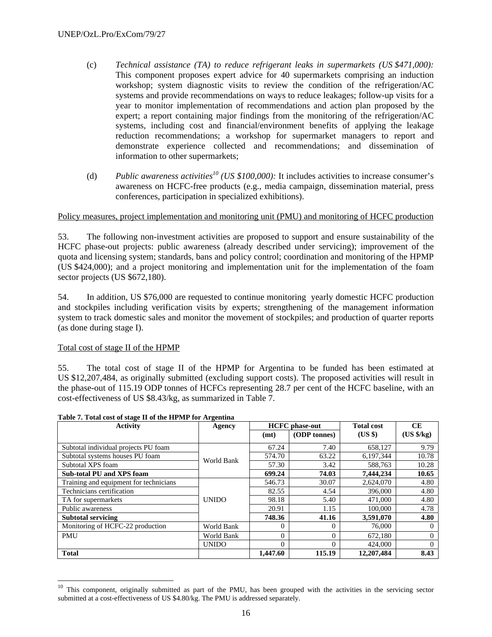- (c) *Technical assistance (TA) to reduce refrigerant leaks in supermarkets (US \$471,000):* This component proposes expert advice for 40 supermarkets comprising an induction workshop; system diagnostic visits to review the condition of the refrigeration/AC systems and provide recommendations on ways to reduce leakages; follow-up visits for a year to monitor implementation of recommendations and action plan proposed by the expert; a report containing major findings from the monitoring of the refrigeration/AC systems, including cost and financial/environment benefits of applying the leakage reduction recommendations; a workshop for supermarket managers to report and demonstrate experience collected and recommendations; and dissemination of information to other supermarkets;
- (d) Public awareness activities<sup>10</sup> (US \$100,000): It includes activities to increase consumer's awareness on HCFC-free products (e.g., media campaign, dissemination material, press conferences, participation in specialized exhibitions).

## Policy measures, project implementation and monitoring unit (PMU) and monitoring of HCFC production

53. The following non-investment activities are proposed to support and ensure sustainability of the HCFC phase-out projects: public awareness (already described under servicing); improvement of the quota and licensing system; standards, bans and policy control; coordination and monitoring of the HPMP (US \$424,000); and a project monitoring and implementation unit for the implementation of the foam sector projects (US \$672,180).

54. In addition, US \$76,000 are requested to continue monitoring yearly domestic HCFC production and stockpiles including verification visits by experts; strengthening of the management information system to track domestic sales and monitor the movement of stockpiles; and production of quarter reports (as done during stage I).

#### Total cost of stage II of the HPMP

l

55. The total cost of stage II of the HPMP for Argentina to be funded has been estimated at US \$12,207,484, as originally submitted (excluding support costs). The proposed activities will result in the phase-out of 115.19 ODP tonnes of HCFCs representing 28.7 per cent of the HCFC baseline, with an cost-effectiveness of US \$8.43/kg, as summarized in Table 7.

| <b>Activity</b>                        | Agency       |          | <b>HCFC</b> phase-out | <b>Total cost</b> | CE         |
|----------------------------------------|--------------|----------|-----------------------|-------------------|------------|
|                                        |              | (mt)     | (ODP tonnes)          | $(US \$           | (US \$/kg) |
| Subtotal individual projects PU foam   |              | 67.24    | 7.40                  | 658,127           | 9.79       |
| Subtotal systems houses PU foam        | World Bank   | 574.70   | 63.22                 | 6,197,344         | 10.78      |
| Subtotal XPS foam                      |              | 57.30    | 3.42                  | 588,763           | 10.28      |
| <b>Sub-total PU and XPS foam</b>       |              | 699.24   | 74.03                 | 7.444.234         | 10.65      |
| Training and equipment for technicians |              | 546.73   | 30.07                 | 2,624,070         | 4.80       |
| Technicians certification              |              | 82.55    | 4.54                  | 396,000           | 4.80       |
| TA for supermarkets                    | <b>UNIDO</b> | 98.18    | 5.40                  | 471,000           | 4.80       |
| Public awareness                       |              | 20.91    | 1.15                  | 100,000           | 4.78       |
| <b>Subtotal servicing</b>              |              | 748.36   | 41.16                 | 3,591,070         | 4.80       |
| Monitoring of HCFC-22 production       | World Bank   | $\Omega$ | $\Omega$              | 76,000            | 0          |
| <b>PMU</b>                             | World Bank   | $\Omega$ | $\Omega$              | 672,180           | $\Omega$   |
|                                        | <b>UNIDO</b> | $\Omega$ | $\Omega$              | 424,000           | $\Omega$   |
| <b>Total</b>                           |              | 1.447.60 | 115.19                | 12,207,484        | 8.43       |

#### **Table 7. Total cost of stage II of the HPMP for Argentina**

<sup>&</sup>lt;sup>10</sup> This component, originally submitted as part of the PMU, has been grouped with the activities in the servicing sector submitted at a cost-effectiveness of US \$4.80/kg. The PMU is addressed separately.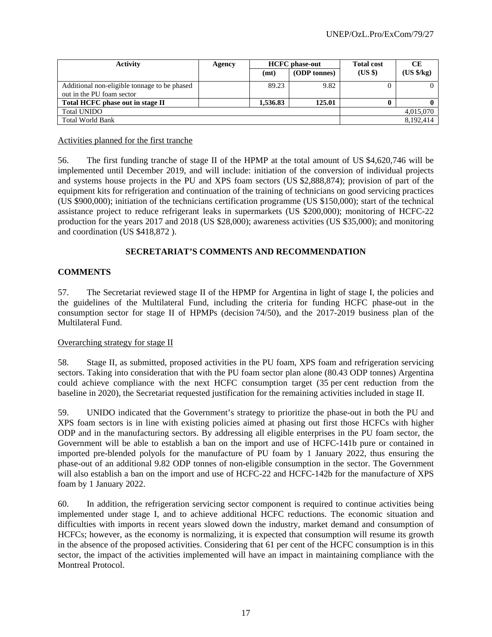| <b>Activity</b>                                                           | Agency |          | <b>HCFC</b> phase-out | <b>Total cost</b> | <b>CE</b>            |
|---------------------------------------------------------------------------|--------|----------|-----------------------|-------------------|----------------------|
|                                                                           |        | (mt)     | (ODP tonnes)          | $(US \$           | $(US \frac{4}{5}kg)$ |
| Additional non-eligible tonnage to be phased<br>out in the PU foam sector |        | 89.23    | 9.82                  |                   |                      |
| Total HCFC phase out in stage II                                          |        | 1.536.83 | 125.01                |                   |                      |
| <b>Total UNIDO</b>                                                        |        |          |                       |                   | 4,015,070            |
| <b>Total World Bank</b>                                                   |        |          |                       |                   | 8,192,414            |

#### Activities planned for the first tranche

56. The first funding tranche of stage II of the HPMP at the total amount of US \$4,620,746 will be implemented until December 2019, and will include: initiation of the conversion of individual projects and systems house projects in the PU and XPS foam sectors (US \$2,888,874); provision of part of the equipment kits for refrigeration and continuation of the training of technicians on good servicing practices (US \$900,000); initiation of the technicians certification programme (US \$150,000); start of the technical assistance project to reduce refrigerant leaks in supermarkets (US \$200,000); monitoring of HCFC-22 production for the years 2017 and 2018 (US \$28,000); awareness activities (US \$35,000); and monitoring and coordination (US \$418,872 ).

# **SECRETARIAT'S COMMENTS AND RECOMMENDATION**

## **COMMENTS**

57. The Secretariat reviewed stage II of the HPMP for Argentina in light of stage I, the policies and the guidelines of the Multilateral Fund, including the criteria for funding HCFC phase-out in the consumption sector for stage II of HPMPs (decision 74/50), and the 2017-2019 business plan of the Multilateral Fund.

#### Overarching strategy for stage II

58. Stage II, as submitted, proposed activities in the PU foam, XPS foam and refrigeration servicing sectors. Taking into consideration that with the PU foam sector plan alone (80.43 ODP tonnes) Argentina could achieve compliance with the next HCFC consumption target (35 per cent reduction from the baseline in 2020), the Secretariat requested justification for the remaining activities included in stage II.

59. UNIDO indicated that the Government's strategy to prioritize the phase-out in both the PU and XPS foam sectors is in line with existing policies aimed at phasing out first those HCFCs with higher ODP and in the manufacturing sectors. By addressing all eligible enterprises in the PU foam sector, the Government will be able to establish a ban on the import and use of HCFC-141b pure or contained in imported pre-blended polyols for the manufacture of PU foam by 1 January 2022, thus ensuring the phase-out of an additional 9.82 ODP tonnes of non-eligible consumption in the sector. The Government will also establish a ban on the import and use of HCFC-22 and HCFC-142b for the manufacture of XPS foam by 1 January 2022.

60. In addition, the refrigeration servicing sector component is required to continue activities being implemented under stage I, and to achieve additional HCFC reductions. The economic situation and difficulties with imports in recent years slowed down the industry, market demand and consumption of HCFCs; however, as the economy is normalizing, it is expected that consumption will resume its growth in the absence of the proposed activities. Considering that 61 per cent of the HCFC consumption is in this sector, the impact of the activities implemented will have an impact in maintaining compliance with the Montreal Protocol.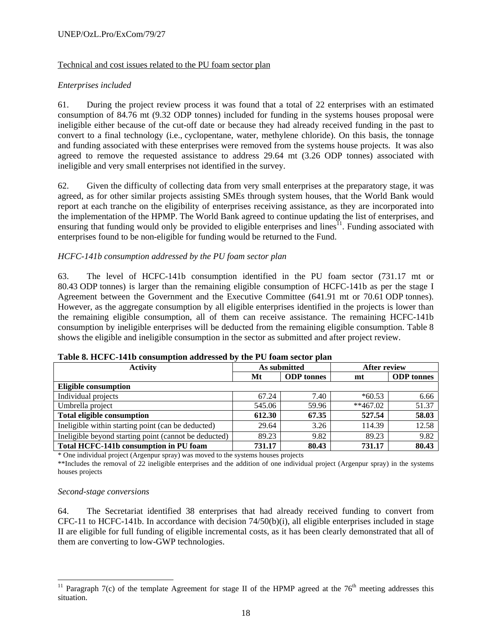#### UNEP/OzL.Pro/ExCom/79/27

## Technical and cost issues related to the PU foam sector plan

## *Enterprises included*

61. During the project review process it was found that a total of 22 enterprises with an estimated consumption of 84.76 mt (9.32 ODP tonnes) included for funding in the systems houses proposal were ineligible either because of the cut-off date or because they had already received funding in the past to convert to a final technology (i.e., cyclopentane, water, methylene chloride). On this basis, the tonnage and funding associated with these enterprises were removed from the systems house projects. It was also agreed to remove the requested assistance to address 29.64 mt (3.26 ODP tonnes) associated with ineligible and very small enterprises not identified in the survey.

62. Given the difficulty of collecting data from very small enterprises at the preparatory stage, it was agreed, as for other similar projects assisting SMEs through system houses, that the World Bank would report at each tranche on the eligibility of enterprises receiving assistance, as they are incorporated into the implementation of the HPMP. The World Bank agreed to continue updating the list of enterprises, and ensuring that funding would only be provided to eligible enterprises and lines<sup>11</sup>. Funding associated with enterprises found to be non-eligible for funding would be returned to the Fund.

## *HCFC-141b consumption addressed by the PU foam sector plan*

63. The level of HCFC-141b consumption identified in the PU foam sector (731.17 mt or 80.43 ODP tonnes) is larger than the remaining eligible consumption of HCFC-141b as per the stage I Agreement between the Government and the Executive Committee (641.91 mt or 70.61 ODP tonnes). However, as the aggregate consumption by all eligible enterprises identified in the projects is lower than the remaining eligible consumption, all of them can receive assistance. The remaining HCFC-141b consumption by ineligible enterprises will be deducted from the remaining eligible consumption. Table 8 shows the eligible and ineligible consumption in the sector as submitted and after project review.

| <b>Activity</b>                                       |    |                   | As submitted |                   | <b>After review</b> |  |  |
|-------------------------------------------------------|----|-------------------|--------------|-------------------|---------------------|--|--|
|                                                       | Mt | <b>ODP</b> tonnes | mt           | <b>ODP</b> tonnes |                     |  |  |
| <b>Eligible consumption</b>                           |    |                   |              |                   |                     |  |  |
| Individual projects                                   |    | 67.24             | 7.40         | $*60.53$          | 6.66                |  |  |
| Umbrella project                                      |    | 545.06            | 59.96        | $**467.02$        | 51.37               |  |  |
| <b>Total eligible consumption</b>                     |    | 612.30            | 67.35        | 527.54            | 58.03               |  |  |
| Ineligible within starting point (can be deducted)    |    | 29.64             | 3.26         | 114.39            | 12.58               |  |  |
| Ineligible beyond starting point (cannot be deducted) |    | 89.23             | 9.82         | 89.23             | 9.82                |  |  |
| Total HCFC-141b consumption in PU foam                |    | 731.17            | 80.43        | 731.17            | 80.43               |  |  |

#### **Table 8. HCFC-141b consumption addressed by the PU foam sector plan**

\* One individual project (Argenpur spray) was moved to the systems houses projects

\*\*Includes the removal of 22 ineligible enterprises and the addition of one individual project (Argenpur spray) in the systems houses projects

#### *Second-stage conversions*

l

64. The Secretariat identified 38 enterprises that had already received funding to convert from CFC-11 to HCFC-141b. In accordance with decision 74/50(b)(i), all eligible enterprises included in stage II are eligible for full funding of eligible incremental costs, as it has been clearly demonstrated that all of them are converting to low-GWP technologies.

<sup>&</sup>lt;sup>11</sup> Paragraph 7(c) of the template Agreement for stage II of the HPMP agreed at the 76<sup>th</sup> meeting addresses this situation.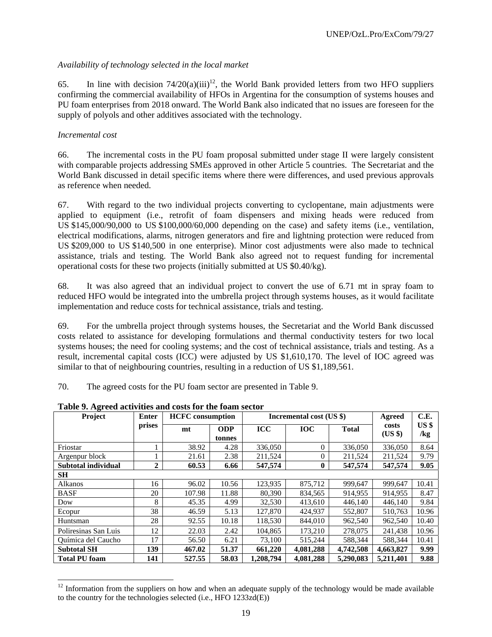## *Availability of technology selected in the local market*

65. In line with decision  $74/20(a)(iii)^{12}$ , the World Bank provided letters from two HFO suppliers confirming the commercial availability of HFOs in Argentina for the consumption of systems houses and PU foam enterprises from 2018 onward. The World Bank also indicated that no issues are foreseen for the supply of polyols and other additives associated with the technology.

## *Incremental cost*

l

66. The incremental costs in the PU foam proposal submitted under stage II were largely consistent with comparable projects addressing SMEs approved in other Article 5 countries. The Secretariat and the World Bank discussed in detail specific items where there were differences, and used previous approvals as reference when needed.

67. With regard to the two individual projects converting to cyclopentane, main adjustments were applied to equipment (i.e., retrofit of foam dispensers and mixing heads were reduced from US \$145,000/90,000 to US \$100,000/60,000 depending on the case) and safety items (i.e., ventilation, electrical modifications, alarms, nitrogen generators and fire and lightning protection were reduced from US \$209,000 to US \$140,500 in one enterprise). Minor cost adjustments were also made to technical assistance, trials and testing. The World Bank also agreed not to request funding for incremental operational costs for these two projects (initially submitted at US \$0.40/kg).

68. It was also agreed that an individual project to convert the use of 6.71 mt in spray foam to reduced HFO would be integrated into the umbrella project through systems houses, as it would facilitate implementation and reduce costs for technical assistance, trials and testing.

69. For the umbrella project through systems houses, the Secretariat and the World Bank discussed costs related to assistance for developing formulations and thermal conductivity testers for two local systems houses; the need for cooling systems; and the cost of technical assistance, trials and testing. As a result, incremental capital costs (ICC) were adjusted by US \$1,610,170. The level of IOC agreed was similar to that of neighbouring countries, resulting in a reduction of US \$1,189,561.

70. The agreed costs for the PU foam sector are presented in Table 9.

| Project              | <b>Enter</b>   | <b>HCFC</b> consumption |                      | Incremental cost (US \$) | Agreed<br>costs     | C.E.         |           |                           |
|----------------------|----------------|-------------------------|----------------------|--------------------------|---------------------|--------------|-----------|---------------------------|
|                      | prises         | mt                      | <b>ODP</b><br>tonnes | <b>ICC</b>               | <b>IOC</b>          | <b>Total</b> |           | US <sub>3</sub><br>$\log$ |
| Friostar             |                | 38.92                   | 4.28                 | 336,050                  | $\overline{0}$      | 336,050      | 336,050   | 8.64                      |
| Argenpur block       |                | 21.61                   | 2.38                 | 211.524                  | $\overline{0}$      | 211.524      | 211.524   | 9.79                      |
| Subtotal individual  | $\overline{2}$ | 60.53                   | 6.66                 | 547,574                  | $\bf{0}$<br>547,574 |              | 547,574   | 9.05                      |
| <b>SH</b>            |                |                         |                      |                          |                     |              |           |                           |
| Alkanos              | 16             | 96.02                   | 10.56                | 123,935                  | 875,712             | 999,647      | 999,647   | 10.41                     |
| <b>BASF</b>          | 20             | 107.98                  | 11.88                | 80.390                   | 834.565             | 914.955      | 914.955   | 8.47                      |
| Dow                  | 8              | 45.35                   | 4.99                 | 32,530                   | 413,610             | 446.140      | 446.140   | 9.84                      |
| Ecopur               | 38             | 46.59                   | 5.13                 | 127,870                  | 424,937             | 552,807      | 510,763   | 10.96                     |
| Huntsman             | 28             | 92.55                   | 10.18                | 118,530                  | 844,010             | 962,540      | 962,540   | 10.40                     |
| Poliresinas San Luis | 12             | 22.03                   | 2.42                 | 104.865                  | 173,210             | 278,075      | 241,438   | 10.96                     |
| Química del Caucho   | 17             | 56.50                   | 6.21                 | 73,100                   | 515,244             | 588,344      | 588,344   | 10.41                     |
| <b>Subtotal SH</b>   | 139            | 467.02                  | 51.37                | 661,220                  | 4,081,288           | 4,742,508    | 4,663,827 | 9.99                      |
| <b>Total PU foam</b> | 141            | 527.55                  | 58.03                | 1,208,794                | 4.081.288           | 5,290,083    | 5.211.401 | 9.88                      |

**Table 9. Agreed activities and costs for the foam sector** 

 $12$  Information from the suppliers on how and when an adequate supply of the technology would be made available to the country for the technologies selected (i.e., HFO 1233zd(E))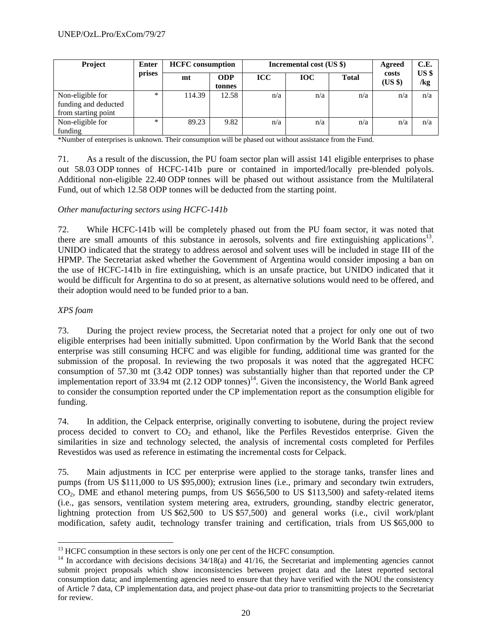| <b>Project</b>                                                  | <b>Enter</b> | <b>HCFC</b> consumption |                      |            | Incremental cost (US \$) |              | Agreed           | C.E.<br>US <sub>3</sub><br>/kg |
|-----------------------------------------------------------------|--------------|-------------------------|----------------------|------------|--------------------------|--------------|------------------|--------------------------------|
|                                                                 | prises       | mt                      | <b>ODP</b><br>tonnes | <b>ICC</b> | <b>IOC</b>               | <b>Total</b> | costs<br>$(US \$ |                                |
| Non-eligible for<br>funding and deducted<br>from starting point | $\ast$       | 114.39                  | 12.58                | n/a        | n/a                      | n/a          | n/a              | n/a                            |
| Non-eligible for<br>funding                                     | $*$          | 89.23                   | 9.82                 | n/a        | n/a                      | n/a          | n/a              | n/a                            |

\*Number of enterprises is unknown. Their consumption will be phased out without assistance from the Fund.

71. As a result of the discussion, the PU foam sector plan will assist 141 eligible enterprises to phase out 58.03 ODP tonnes of HCFC-141b pure or contained in imported/locally pre-blended polyols. Additional non-eligible 22.40 ODP tonnes will be phased out without assistance from the Multilateral Fund, out of which 12.58 ODP tonnes will be deducted from the starting point.

#### *Other manufacturing sectors using HCFC-141b*

72. While HCFC-141b will be completely phased out from the PU foam sector, it was noted that there are small amounts of this substance in aerosols, solvents and fire extinguishing applications13. UNIDO indicated that the strategy to address aerosol and solvent uses will be included in stage III of the HPMP. The Secretariat asked whether the Government of Argentina would consider imposing a ban on the use of HCFC-141b in fire extinguishing, which is an unsafe practice, but UNIDO indicated that it would be difficult for Argentina to do so at present, as alternative solutions would need to be offered, and their adoption would need to be funded prior to a ban.

#### *XPS foam*

1

73. During the project review process, the Secretariat noted that a project for only one out of two eligible enterprises had been initially submitted. Upon confirmation by the World Bank that the second enterprise was still consuming HCFC and was eligible for funding, additional time was granted for the submission of the proposal. In reviewing the two proposals it was noted that the aggregated HCFC consumption of 57.30 mt (3.42 ODP tonnes) was substantially higher than that reported under the CP implementation report of  $33.94$  mt (2.12 ODP tonnes)<sup>14</sup>. Given the inconsistency, the World Bank agreed to consider the consumption reported under the CP implementation report as the consumption eligible for funding.

74. In addition, the Celpack enterprise, originally converting to isobutene, during the project review process decided to convert to  $CO<sub>2</sub>$  and ethanol, like the Perfiles Revestidos enterprise. Given the similarities in size and technology selected, the analysis of incremental costs completed for Perfiles Revestidos was used as reference in estimating the incremental costs for Celpack.

75. Main adjustments in ICC per enterprise were applied to the storage tanks, transfer lines and pumps (from US \$111,000 to US \$95,000); extrusion lines (i.e., primary and secondary twin extruders,  $CO<sub>2</sub>$ , DME and ethanol metering pumps, from US \$656,500 to US \$113,500) and safety-related items (i.e., gas sensors, ventilation system metering area, extruders, grounding, standby electric generator, lightning protection from US \$62,500 to US \$57,500) and general works (i.e., civil work/plant modification, safety audit, technology transfer training and certification, trials from US \$65,000 to

<sup>&</sup>lt;sup>13</sup> HCFC consumption in these sectors is only one per cent of the HCFC consumption.

<sup>&</sup>lt;sup>14</sup> In accordance with decisions decisions 34/18(a) and 41/16, the Secretariat and implementing agencies cannot submit project proposals which show inconsistencies between project data and the latest reported sectoral consumption data; and implementing agencies need to ensure that they have verified with the NOU the consistency of Article 7 data, CP implementation data, and project phase-out data prior to transmitting projects to the Secretariat for review.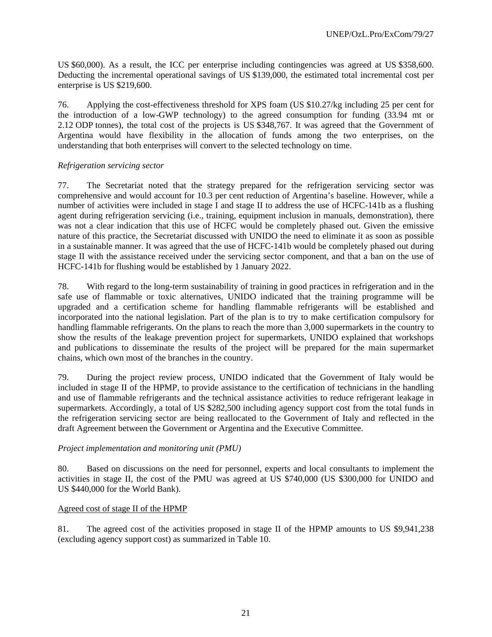US \$60,000). As a result, the ICC per enterprise including contingencies was agreed at US \$358,600. Deducting the incremental operational savings of US \$139,000, the estimated total incremental cost per enterprise is US \$219,600.

76. Applying the cost-effectiveness threshold for XPS foam (US \$10.27/kg including 25 per cent for the introduction of a low-GWP technology) to the agreed consumption for funding (33.94 mt or 2.12 ODP tonnes), the total cost of the projects is US \$348,767. It was agreed that the Government of Argentina would have flexibility in the allocation of funds among the two enterprises, on the understanding that both enterprises will convert to the selected technology on time.

## *Refrigeration servicing sector*

77. The Secretariat noted that the strategy prepared for the refrigeration servicing sector was comprehensive and would account for 10.3 per cent reduction of Argentina's baseline. However, while a number of activities were included in stage I and stage II to address the use of HCFC-141b as a flushing agent during refrigeration servicing (i.e., training, equipment inclusion in manuals, demonstration), there was not a clear indication that this use of HCFC would be completely phased out. Given the emissive nature of this practice, the Secretariat discussed with UNIDO the need to eliminate it as soon as possible in a sustainable manner. It was agreed that the use of HCFC-141b would be completely phased out during stage II with the assistance received under the servicing sector component, and that a ban on the use of HCFC-141b for flushing would be established by 1 January 2022.

78. With regard to the long-term sustainability of training in good practices in refrigeration and in the safe use of flammable or toxic alternatives, UNIDO indicated that the training programme will be upgraded and a certification scheme for handling flammable refrigerants will be established and incorporated into the national legislation. Part of the plan is to try to make certification compulsory for handling flammable refrigerants. On the plans to reach the more than 3,000 supermarkets in the country to show the results of the leakage prevention project for supermarkets, UNIDO explained that workshops and publications to disseminate the results of the project will be prepared for the main supermarket chains, which own most of the branches in the country.

79. During the project review process, UNIDO indicated that the Government of Italy would be included in stage II of the HPMP, to provide assistance to the certification of technicians in the handling and use of flammable refrigerants and the technical assistance activities to reduce refrigerant leakage in supermarkets. Accordingly, a total of US \$282,500 including agency support cost from the total funds in the refrigeration servicing sector are being reallocated to the Government of Italy and reflected in the draft Agreement between the Government or Argentina and the Executive Committee.

#### *Project implementation and monitoring unit (PMU)*

80. Based on discussions on the need for personnel, experts and local consultants to implement the activities in stage II, the cost of the PMU was agreed at US \$740,000 (US \$300,000 for UNIDO and US \$440,000 for the World Bank).

#### Agreed cost of stage II of the HPMP

81. The agreed cost of the activities proposed in stage II of the HPMP amounts to US \$9,941,238 (excluding agency support cost) as summarized in Table 10.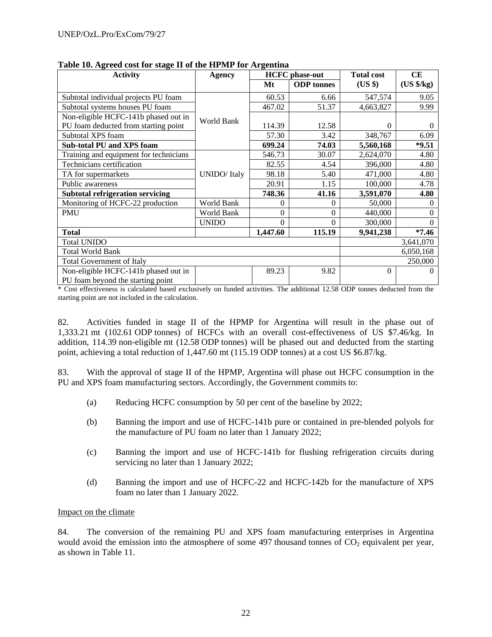| <b>Activity</b>                         | <b>Agency</b>        |          | <b>HCFC</b> phase-out |           | <b>CE</b>  |  |  |
|-----------------------------------------|----------------------|----------|-----------------------|-----------|------------|--|--|
|                                         |                      | Mt       | <b>ODP</b> tonnes     | (US \$)   | (US \$/kg) |  |  |
| Subtotal individual projects PU foam    |                      | 60.53    | 6.66                  | 547,574   | 9.05       |  |  |
| Subtotal systems houses PU foam         |                      | 467.02   | 51.37                 | 4,663,827 | 9.99       |  |  |
| Non-eligible HCFC-141b phased out in    | World Bank           |          |                       |           |            |  |  |
| PU foam deducted from starting point    |                      | 114.39   | 12.58                 | 0         | $\theta$   |  |  |
| Subtotal XPS foam                       |                      | 57.30    | 3.42                  | 348,767   | 6.09       |  |  |
| <b>Sub-total PU and XPS foam</b>        |                      | 699.24   | 74.03                 | 5,560,168 | $*9.51$    |  |  |
| Training and equipment for technicians  |                      | 546.73   | 30.07                 | 2,624,070 | 4.80       |  |  |
| Technicians certification               |                      | 82.55    | 4.54                  | 396,000   | 4.80       |  |  |
| TA for supermarkets                     | <b>UNIDO</b> / Italy | 98.18    | 5.40                  | 471,000   | 4.80       |  |  |
| Public awareness                        |                      | 20.91    | 1.15                  | 100,000   | 4.78       |  |  |
| <b>Subtotal refrigeration servicing</b> |                      | 748.36   | 41.16                 | 3,591,070 | 4.80       |  |  |
| Monitoring of HCFC-22 production        | World Bank           | 0        | 0                     | 50,000    |            |  |  |
| <b>PMU</b>                              | World Bank           | 0        | $\boldsymbol{0}$      | 440,000   | 0          |  |  |
|                                         | <b>UNIDO</b>         | 0        | $\Omega$              | 300,000   |            |  |  |
| <b>Total</b>                            |                      | 1,447.60 | 115.19                | 9,941,238 | $*7.46$    |  |  |
| <b>Total UNIDO</b>                      |                      |          |                       |           | 3,641,070  |  |  |
| <b>Total World Bank</b>                 |                      |          |                       | 6,050,168 |            |  |  |
| <b>Total Government of Italy</b>        |                      |          |                       |           | 250,000    |  |  |
| Non-eligible HCFC-141b phased out in    |                      | 89.23    | 9.82                  | 0         | 0          |  |  |
| PU foam beyond the starting point       |                      |          |                       |           |            |  |  |

**Table 10. Agreed cost for stage II of the HPMP for Argentina** 

**EXECT** FO TO STAR DEVOIDED IT CONTINUES THE VIOLET THE VIOLET THE STAR OF THE STAR OF THE VIOLET THE STAR OF THE STAR OF THE STAR OF THE STAR OF THE STAR OF THE STAR OF THE STAR OF THE STAR OF THE STAR OF THE STAR OF THE starting point are not included in the calculation.

82. Activities funded in stage II of the HPMP for Argentina will result in the phase out of 1,333.21 mt (102.61 ODP tonnes) of HCFCs with an overall cost-effectiveness of US \$7.46/kg. In addition, 114.39 non-eligible mt (12.58 ODP tonnes) will be phased out and deducted from the starting point, achieving a total reduction of 1,447.60 mt (115.19 ODP tonnes) at a cost US \$6.87/kg.

83. With the approval of stage II of the HPMP, Argentina will phase out HCFC consumption in the PU and XPS foam manufacturing sectors. Accordingly, the Government commits to:

- (a) Reducing HCFC consumption by 50 per cent of the baseline by 2022;
- (b) Banning the import and use of HCFC-141b pure or contained in pre-blended polyols for the manufacture of PU foam no later than 1 January 2022;
- (c) Banning the import and use of HCFC-141b for flushing refrigeration circuits during servicing no later than 1 January 2022;
- (d) Banning the import and use of HCFC-22 and HCFC-142b for the manufacture of XPS foam no later than 1 January 2022.

#### Impact on the climate

84. The conversion of the remaining PU and XPS foam manufacturing enterprises in Argentina would avoid the emission into the atmosphere of some 497 thousand tonnes of  $CO<sub>2</sub>$  equivalent per year, as shown in Table 11.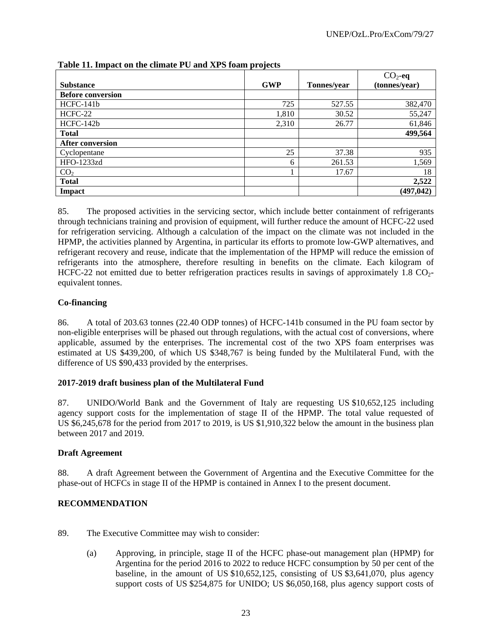|                          |            |             | $CO2$ -eq     |
|--------------------------|------------|-------------|---------------|
| <b>Substance</b>         | <b>GWP</b> | Tonnes/year | (tonnes/year) |
| <b>Before conversion</b> |            |             |               |
| HCFC-141b                | 725        | 527.55      | 382,470       |
| HCFC-22                  | 1,810      | 30.52       | 55,247        |
| HCFC-142b                | 2,310      | 26.77       | 61,846        |
| <b>Total</b>             |            |             | 499,564       |
| <b>After conversion</b>  |            |             |               |
| Cyclopentane             | 25         | 37.38       | 935           |
| HFO-1233zd               | 6          | 261.53      | 1,569         |
| CO <sub>2</sub>          |            | 17.67       | 18            |
| <b>Total</b>             |            |             | 2,522         |
| Impact                   |            |             | (497, 042)    |

## **Table 11. Impact on the climate PU and XPS foam projects**

85. The proposed activities in the servicing sector, which include better containment of refrigerants through technicians training and provision of equipment, will further reduce the amount of HCFC-22 used for refrigeration servicing. Although a calculation of the impact on the climate was not included in the HPMP, the activities planned by Argentina, in particular its efforts to promote low-GWP alternatives, and refrigerant recovery and reuse, indicate that the implementation of the HPMP will reduce the emission of refrigerants into the atmosphere, therefore resulting in benefits on the climate. Each kilogram of HCFC-22 not emitted due to better refrigeration practices results in savings of approximately  $1.8 \text{ CO}_2$ equivalent tonnes.

## **Co-financing**

86. A total of 203.63 tonnes (22.40 ODP tonnes) of HCFC-141b consumed in the PU foam sector by non-eligible enterprises will be phased out through regulations, with the actual cost of conversions, where applicable, assumed by the enterprises. The incremental cost of the two XPS foam enterprises was estimated at US \$439,200, of which US \$348,767 is being funded by the Multilateral Fund, with the difference of US \$90,433 provided by the enterprises.

# **2017-2019 draft business plan of the Multilateral Fund**

87. UNIDO/World Bank and the Government of Italy are requesting US \$10,652,125 including agency support costs for the implementation of stage II of the HPMP. The total value requested of US \$6,245,678 for the period from 2017 to 2019, is US \$1,910,322 below the amount in the business plan between 2017 and 2019.

# **Draft Agreement**

88. A draft Agreement between the Government of Argentina and the Executive Committee for the phase-out of HCFCs in stage II of the HPMP is contained in Annex I to the present document.

# **RECOMMENDATION**

- 89. The Executive Committee may wish to consider:
	- (a) Approving, in principle, stage II of the HCFC phase-out management plan (HPMP) for Argentina for the period 2016 to 2022 to reduce HCFC consumption by 50 per cent of the baseline, in the amount of US \$10,652,125, consisting of US \$3,641,070, plus agency support costs of US \$254,875 for UNIDO; US \$6,050,168, plus agency support costs of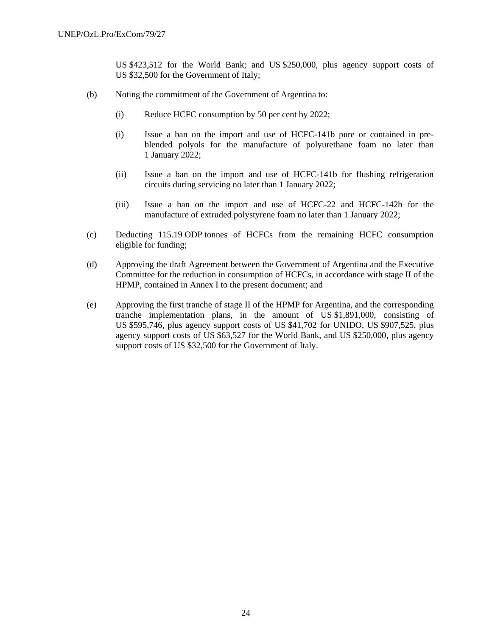US \$423,512 for the World Bank; and US \$250,000, plus agency support costs of US \$32,500 for the Government of Italy;

- (b) Noting the commitment of the Government of Argentina to:
	- (i) Reduce HCFC consumption by 50 per cent by 2022;
	- (i) Issue a ban on the import and use of HCFC-141b pure or contained in preblended polyols for the manufacture of polyurethane foam no later than 1 January 2022;
	- (ii) Issue a ban on the import and use of HCFC-141b for flushing refrigeration circuits during servicing no later than 1 January 2022;
	- (iii) Issue a ban on the import and use of HCFC-22 and HCFC-142b for the manufacture of extruded polystyrene foam no later than 1 January 2022;
- (c) Deducting 115.19 ODP tonnes of HCFCs from the remaining HCFC consumption eligible for funding;
- (d) Approving the draft Agreement between the Government of Argentina and the Executive Committee for the reduction in consumption of HCFCs, in accordance with stage II of the HPMP, contained in Annex I to the present document; and
- (e) Approving the first tranche of stage II of the HPMP for Argentina, and the corresponding tranche implementation plans, in the amount of US \$1,891,000, consisting of US \$595,746, plus agency support costs of US \$41,702 for UNIDO, US \$907,525, plus agency support costs of US \$63,527 for the World Bank, and US \$250,000, plus agency support costs of US \$32,500 for the Government of Italy.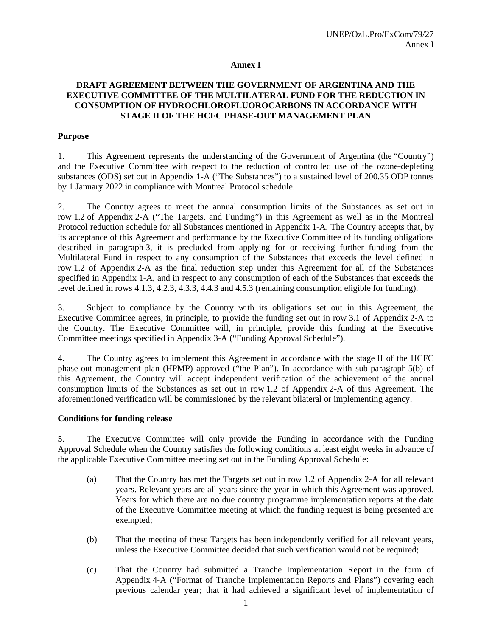#### **Annex I**

## **DRAFT AGREEMENT BETWEEN THE GOVERNMENT OF ARGENTINA AND THE EXECUTIVE COMMITTEE OF THE MULTILATERAL FUND FOR THE REDUCTION IN CONSUMPTION OF HYDROCHLOROFLUOROCARBONS IN ACCORDANCE WITH STAGE II OF THE HCFC PHASE-OUT MANAGEMENT PLAN**

#### **Purpose**

1. This Agreement represents the understanding of the Government of Argentina (the "Country") and the Executive Committee with respect to the reduction of controlled use of the ozone-depleting substances (ODS) set out in Appendix 1-A ("The Substances") to a sustained level of 200.35 ODP tonnes by 1 January 2022 in compliance with Montreal Protocol schedule.

2. The Country agrees to meet the annual consumption limits of the Substances as set out in row 1.2 of Appendix 2-A ("The Targets, and Funding") in this Agreement as well as in the Montreal Protocol reduction schedule for all Substances mentioned in Appendix 1-A. The Country accepts that, by its acceptance of this Agreement and performance by the Executive Committee of its funding obligations described in paragraph 3, it is precluded from applying for or receiving further funding from the Multilateral Fund in respect to any consumption of the Substances that exceeds the level defined in row 1.2 of Appendix 2-A as the final reduction step under this Agreement for all of the Substances specified in Appendix 1-A, and in respect to any consumption of each of the Substances that exceeds the level defined in rows 4.1.3, 4.2.3, 4.3.3, 4.4.3 and 4.5.3 (remaining consumption eligible for funding).

3. Subject to compliance by the Country with its obligations set out in this Agreement, the Executive Committee agrees, in principle, to provide the funding set out in row 3.1 of Appendix 2-A to the Country. The Executive Committee will, in principle, provide this funding at the Executive Committee meetings specified in Appendix 3-A ("Funding Approval Schedule").

4. The Country agrees to implement this Agreement in accordance with the stage II of the HCFC phase-out management plan (HPMP) approved ("the Plan"). In accordance with sub-paragraph 5(b) of this Agreement, the Country will accept independent verification of the achievement of the annual consumption limits of the Substances as set out in row 1.2 of Appendix 2-A of this Agreement. The aforementioned verification will be commissioned by the relevant bilateral or implementing agency.

#### **Conditions for funding release**

5. The Executive Committee will only provide the Funding in accordance with the Funding Approval Schedule when the Country satisfies the following conditions at least eight weeks in advance of the applicable Executive Committee meeting set out in the Funding Approval Schedule:

- (a) That the Country has met the Targets set out in row 1.2 of Appendix 2-A for all relevant years. Relevant years are all years since the year in which this Agreement was approved. Years for which there are no due country programme implementation reports at the date of the Executive Committee meeting at which the funding request is being presented are exempted;
- (b) That the meeting of these Targets has been independently verified for all relevant years, unless the Executive Committee decided that such verification would not be required;
- (c) That the Country had submitted a Tranche Implementation Report in the form of Appendix 4-A ("Format of Tranche Implementation Reports and Plans") covering each previous calendar year; that it had achieved a significant level of implementation of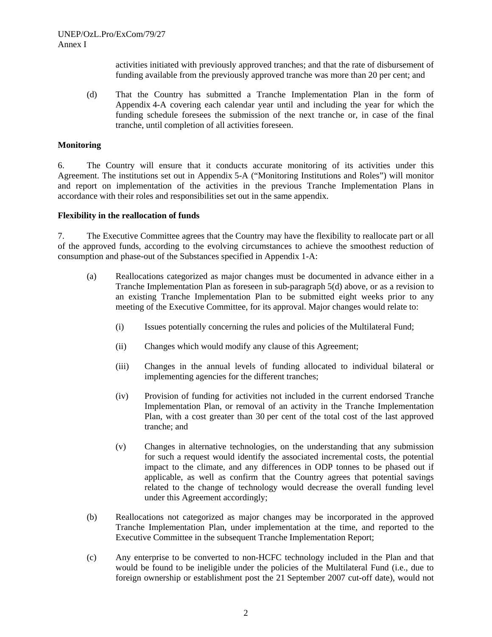activities initiated with previously approved tranches; and that the rate of disbursement of funding available from the previously approved tranche was more than 20 per cent; and

(d) That the Country has submitted a Tranche Implementation Plan in the form of Appendix 4-A covering each calendar year until and including the year for which the funding schedule foresees the submission of the next tranche or, in case of the final tranche, until completion of all activities foreseen.

#### **Monitoring**

6. The Country will ensure that it conducts accurate monitoring of its activities under this Agreement. The institutions set out in Appendix 5-A ("Monitoring Institutions and Roles") will monitor and report on implementation of the activities in the previous Tranche Implementation Plans in accordance with their roles and responsibilities set out in the same appendix.

#### **Flexibility in the reallocation of funds**

7. The Executive Committee agrees that the Country may have the flexibility to reallocate part or all of the approved funds, according to the evolving circumstances to achieve the smoothest reduction of consumption and phase-out of the Substances specified in Appendix 1-A:

- (a) Reallocations categorized as major changes must be documented in advance either in a Tranche Implementation Plan as foreseen in sub-paragraph 5(d) above, or as a revision to an existing Tranche Implementation Plan to be submitted eight weeks prior to any meeting of the Executive Committee, for its approval. Major changes would relate to:
	- (i) Issues potentially concerning the rules and policies of the Multilateral Fund;
	- (ii) Changes which would modify any clause of this Agreement;
	- (iii) Changes in the annual levels of funding allocated to individual bilateral or implementing agencies for the different tranches;
	- (iv) Provision of funding for activities not included in the current endorsed Tranche Implementation Plan, or removal of an activity in the Tranche Implementation Plan, with a cost greater than 30 per cent of the total cost of the last approved tranche; and
	- (v) Changes in alternative technologies, on the understanding that any submission for such a request would identify the associated incremental costs, the potential impact to the climate, and any differences in ODP tonnes to be phased out if applicable, as well as confirm that the Country agrees that potential savings related to the change of technology would decrease the overall funding level under this Agreement accordingly;
- (b) Reallocations not categorized as major changes may be incorporated in the approved Tranche Implementation Plan, under implementation at the time, and reported to the Executive Committee in the subsequent Tranche Implementation Report;
- (c) Any enterprise to be converted to non-HCFC technology included in the Plan and that would be found to be ineligible under the policies of the Multilateral Fund (i.e., due to foreign ownership or establishment post the 21 September 2007 cut-off date), would not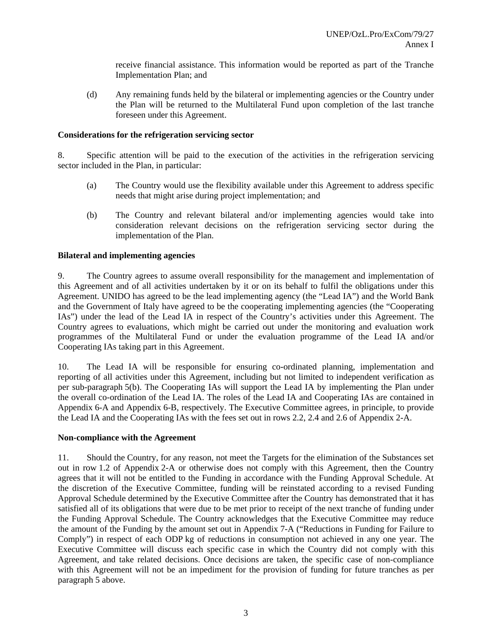receive financial assistance. This information would be reported as part of the Tranche Implementation Plan; and

(d) Any remaining funds held by the bilateral or implementing agencies or the Country under the Plan will be returned to the Multilateral Fund upon completion of the last tranche foreseen under this Agreement.

#### **Considerations for the refrigeration servicing sector**

8. Specific attention will be paid to the execution of the activities in the refrigeration servicing sector included in the Plan, in particular:

- (a) The Country would use the flexibility available under this Agreement to address specific needs that might arise during project implementation; and
- (b) The Country and relevant bilateral and/or implementing agencies would take into consideration relevant decisions on the refrigeration servicing sector during the implementation of the Plan.

#### **Bilateral and implementing agencies**

9. The Country agrees to assume overall responsibility for the management and implementation of this Agreement and of all activities undertaken by it or on its behalf to fulfil the obligations under this Agreement. UNIDO has agreed to be the lead implementing agency (the "Lead IA") and the World Bank and the Government of Italy have agreed to be the cooperating implementing agencies (the "Cooperating IAs") under the lead of the Lead IA in respect of the Country's activities under this Agreement. The Country agrees to evaluations, which might be carried out under the monitoring and evaluation work programmes of the Multilateral Fund or under the evaluation programme of the Lead IA and/or Cooperating IAs taking part in this Agreement.

10. The Lead IA will be responsible for ensuring co-ordinated planning, implementation and reporting of all activities under this Agreement, including but not limited to independent verification as per sub-paragraph 5(b). The Cooperating IAs will support the Lead IA by implementing the Plan under the overall co-ordination of the Lead IA. The roles of the Lead IA and Cooperating IAs are contained in Appendix 6-A and Appendix 6-B, respectively. The Executive Committee agrees, in principle, to provide the Lead IA and the Cooperating IAs with the fees set out in rows 2.2, 2.4 and 2.6 of Appendix 2-A.

#### **Non-compliance with the Agreement**

11. Should the Country, for any reason, not meet the Targets for the elimination of the Substances set out in row 1.2 of Appendix 2-A or otherwise does not comply with this Agreement, then the Country agrees that it will not be entitled to the Funding in accordance with the Funding Approval Schedule. At the discretion of the Executive Committee, funding will be reinstated according to a revised Funding Approval Schedule determined by the Executive Committee after the Country has demonstrated that it has satisfied all of its obligations that were due to be met prior to receipt of the next tranche of funding under the Funding Approval Schedule. The Country acknowledges that the Executive Committee may reduce the amount of the Funding by the amount set out in Appendix 7-A ("Reductions in Funding for Failure to Comply") in respect of each ODP kg of reductions in consumption not achieved in any one year. The Executive Committee will discuss each specific case in which the Country did not comply with this Agreement, and take related decisions. Once decisions are taken, the specific case of non-compliance with this Agreement will not be an impediment for the provision of funding for future tranches as per paragraph 5 above.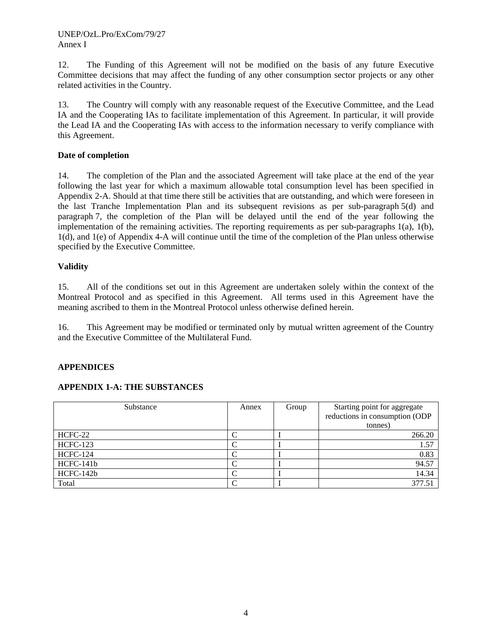12. The Funding of this Agreement will not be modified on the basis of any future Executive Committee decisions that may affect the funding of any other consumption sector projects or any other related activities in the Country.

13. The Country will comply with any reasonable request of the Executive Committee, and the Lead IA and the Cooperating IAs to facilitate implementation of this Agreement. In particular, it will provide the Lead IA and the Cooperating IAs with access to the information necessary to verify compliance with this Agreement.

## **Date of completion**

14. The completion of the Plan and the associated Agreement will take place at the end of the year following the last year for which a maximum allowable total consumption level has been specified in Appendix 2-A. Should at that time there still be activities that are outstanding, and which were foreseen in the last Tranche Implementation Plan and its subsequent revisions as per sub-paragraph 5(d) and paragraph 7, the completion of the Plan will be delayed until the end of the year following the implementation of the remaining activities. The reporting requirements as per sub-paragraphs 1(a), 1(b), 1(d), and 1(e) of Appendix 4-A will continue until the time of the completion of the Plan unless otherwise specified by the Executive Committee.

## **Validity**

15. All of the conditions set out in this Agreement are undertaken solely within the context of the Montreal Protocol and as specified in this Agreement. All terms used in this Agreement have the meaning ascribed to them in the Montreal Protocol unless otherwise defined herein.

16. This Agreement may be modified or terminated only by mutual written agreement of the Country and the Executive Committee of the Multilateral Fund.

# **APPENDICES**

# **APPENDIX 1-A: THE SUBSTANCES**

| Substance       | Annex | Group | Starting point for aggregate<br>reductions in consumption (ODP |
|-----------------|-------|-------|----------------------------------------------------------------|
|                 |       |       | (tonnes)                                                       |
| HCFC-22         |       |       | 266.20                                                         |
| <b>HCFC-123</b> |       |       | 1.57                                                           |
| <b>HCFC-124</b> |       |       | 0.83                                                           |
| HCFC-141b       |       |       | 94.57                                                          |
| HCFC-142b       |       |       | 14.34                                                          |
| Total           |       |       | 377.51                                                         |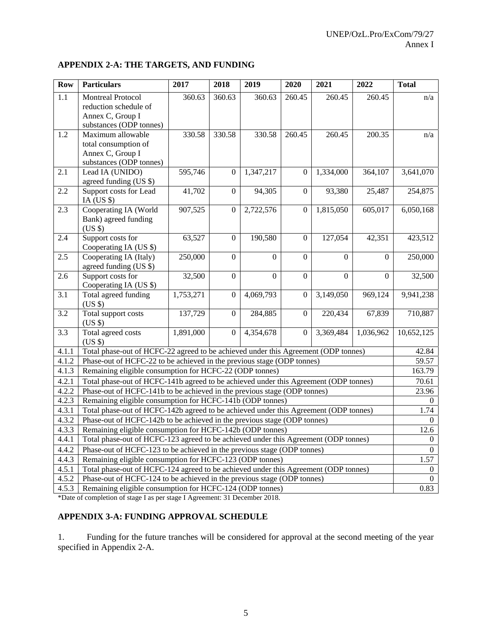#### **APPENDIX 2-A: THE TARGETS, AND FUNDING**

| <b>Row</b> | <b>Particulars</b>                                                                               | 2017      | 2018             | 2019           | 2020             | 2021           | 2022                | <b>Total</b> |
|------------|--------------------------------------------------------------------------------------------------|-----------|------------------|----------------|------------------|----------------|---------------------|--------------|
| 1.1        | <b>Montreal Protocol</b><br>reduction schedule of<br>Annex C, Group I<br>substances (ODP tonnes) | 360.63    | 360.63           | 360.63         | 260.45           | 260.45         | 260.45              | n/a          |
| 1.2        | Maximum allowable<br>total consumption of<br>Annex C, Group I<br>substances (ODP tonnes)         | 330.58    | 330.58           | 330.58         | 260.45           | 260.45         | 200.35              | n/a          |
| 2.1        | Lead IA (UNIDO)<br>agreed funding (US \$)                                                        | 595,746   | $\overline{0}$   | 1,347,217      | $\Omega$         | 1,334,000      | 364,107             | 3,641,070    |
| 2.2        | Support costs for Lead<br>IA (US $$$ )                                                           | 41,702    | $\boldsymbol{0}$ | 94,305         | $\boldsymbol{0}$ | 93,380         | 25,487              | 254,875      |
| 2.3        | Cooperating IA (World<br>Bank) agreed funding<br>(US \$)                                         | 907,525   | $\boldsymbol{0}$ | 2,722,576      | $\boldsymbol{0}$ | 1,815,050      | 605,017             | 6,050,168    |
| 2.4        | Support costs for<br>Cooperating IA (US \$)                                                      | 63,527    | $\boldsymbol{0}$ | 190,580        | $\overline{0}$   | 127,054        | $\overline{42,351}$ | 423,512      |
| 2.5        | Cooperating IA (Italy)<br>agreed funding (US \$)                                                 | 250,000   | $\mathbf{0}$     | $\overline{0}$ | $\overline{0}$   | $\Omega$       | $\overline{0}$      | 250,000      |
| 2.6        | Support costs for<br>Cooperating IA (US \$)                                                      | 32,500    | $\overline{0}$   | $\overline{0}$ | $\overline{0}$   | $\overline{0}$ | $\mathbf{0}$        | 32,500       |
| 3.1        | Total agreed funding<br>(US \$)                                                                  | 1,753,271 | $\overline{0}$   | 4,069,793      | $\overline{0}$   | 3,149,050      | 969,124             | 9,941,238    |
| 3.2        | Total support costs<br>(US \$)                                                                   | 137,729   | $\mathbf{0}$     | 284,885        | $\overline{0}$   | 220,434        | 67,839              | 710,887      |
| 3.3        | Total agreed costs<br>(US \$)                                                                    | 1,891,000 | $\mathbf{0}$     | 4,354,678      | $\overline{0}$   | 3,369,484      | 1,036,962           | 10,652,125   |
| 4.1.1      | Total phase-out of HCFC-22 agreed to be achieved under this Agreement (ODP tonnes)               |           |                  |                |                  |                |                     | 42.84        |
| 4.1.2      | Phase-out of HCFC-22 to be achieved in the previous stage (ODP tonnes)                           |           |                  |                |                  |                |                     | 59.57        |
| 4.1.3      | Remaining eligible consumption for HCFC-22 (ODP tonnes)                                          |           |                  |                |                  |                |                     | 163.79       |
| 4.2.1      | Total phase-out of HCFC-141b agreed to be achieved under this Agreement (ODP tonnes)             |           |                  |                |                  |                |                     | 70.61        |
| 4.2.2      | Phase-out of HCFC-141b to be achieved in the previous stage (ODP tonnes)                         |           |                  |                |                  |                |                     | 23.96        |
| 4.2.3      | Remaining eligible consumption for HCFC-141b (ODP tonnes)                                        |           |                  |                |                  |                |                     | $\Omega$     |
| 4.3.1      | Total phase-out of HCFC-142b agreed to be achieved under this Agreement (ODP tonnes)             |           |                  |                |                  |                |                     | 1.74         |
| 4.3.2      | Phase-out of HCFC-142b to be achieved in the previous stage (ODP tonnes)                         |           |                  |                |                  |                |                     | $\theta$     |
| 4.3.3      | Remaining eligible consumption for HCFC-142b (ODP tonnes)                                        |           |                  |                |                  |                |                     | 12.6         |
| 4.4.1      | Total phase-out of HCFC-123 agreed to be achieved under this Agreement (ODP tonnes)              |           |                  |                |                  |                |                     | $\theta$     |
| 4.4.2      | Phase-out of HCFC-123 to be achieved in the previous stage (ODP tonnes)                          |           |                  |                |                  |                |                     | $\Omega$     |
| 4.4.3      | Remaining eligible consumption for HCFC-123 (ODP tonnes)                                         |           |                  |                |                  |                |                     | 1.57         |
| 4.5.1      | Total phase-out of HCFC-124 agreed to be achieved under this Agreement (ODP tonnes)              |           |                  |                |                  |                |                     | $\theta$     |
| 4.5.2      | Phase-out of HCFC-124 to be achieved in the previous stage (ODP tonnes)                          |           |                  |                |                  |                |                     | $\mathbf{0}$ |
| 4.5.3      | Remaining eligible consumption for HCFC-124 (ODP tonnes)                                         |           |                  |                |                  |                |                     | 0.83         |

\*Date of completion of stage I as per stage I Agreement: 31 December 2018.

#### **APPENDIX 3-A: FUNDING APPROVAL SCHEDULE**

1. Funding for the future tranches will be considered for approval at the second meeting of the year specified in Appendix 2-A.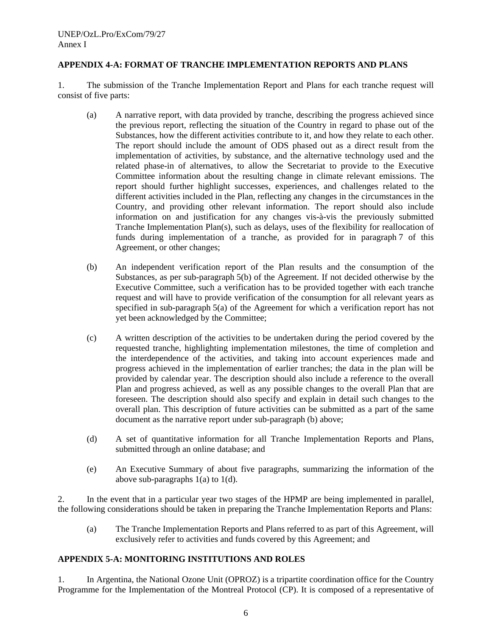## **APPENDIX 4-A: FORMAT OF TRANCHE IMPLEMENTATION REPORTS AND PLANS**

1. The submission of the Tranche Implementation Report and Plans for each tranche request will consist of five parts:

- (a) A narrative report, with data provided by tranche, describing the progress achieved since the previous report, reflecting the situation of the Country in regard to phase out of the Substances, how the different activities contribute to it, and how they relate to each other. The report should include the amount of ODS phased out as a direct result from the implementation of activities, by substance, and the alternative technology used and the related phase-in of alternatives, to allow the Secretariat to provide to the Executive Committee information about the resulting change in climate relevant emissions. The report should further highlight successes, experiences, and challenges related to the different activities included in the Plan, reflecting any changes in the circumstances in the Country, and providing other relevant information. The report should also include information on and justification for any changes vis-à-vis the previously submitted Tranche Implementation Plan(s), such as delays, uses of the flexibility for reallocation of funds during implementation of a tranche, as provided for in paragraph 7 of this Agreement, or other changes;
- (b) An independent verification report of the Plan results and the consumption of the Substances, as per sub-paragraph 5(b) of the Agreement. If not decided otherwise by the Executive Committee, such a verification has to be provided together with each tranche request and will have to provide verification of the consumption for all relevant years as specified in sub-paragraph 5(a) of the Agreement for which a verification report has not yet been acknowledged by the Committee;
- (c) A written description of the activities to be undertaken during the period covered by the requested tranche, highlighting implementation milestones, the time of completion and the interdependence of the activities, and taking into account experiences made and progress achieved in the implementation of earlier tranches; the data in the plan will be provided by calendar year. The description should also include a reference to the overall Plan and progress achieved, as well as any possible changes to the overall Plan that are foreseen. The description should also specify and explain in detail such changes to the overall plan. This description of future activities can be submitted as a part of the same document as the narrative report under sub-paragraph (b) above;
- (d) A set of quantitative information for all Tranche Implementation Reports and Plans, submitted through an online database; and
- (e) An Executive Summary of about five paragraphs, summarizing the information of the above sub-paragraphs 1(a) to 1(d).

2. In the event that in a particular year two stages of the HPMP are being implemented in parallel, the following considerations should be taken in preparing the Tranche Implementation Reports and Plans:

(a) The Tranche Implementation Reports and Plans referred to as part of this Agreement, will exclusively refer to activities and funds covered by this Agreement; and

#### **APPENDIX 5-A: MONITORING INSTITUTIONS AND ROLES**

1. In Argentina, the National Ozone Unit (OPROZ) is a tripartite coordination office for the Country Programme for the Implementation of the Montreal Protocol (CP). It is composed of a representative of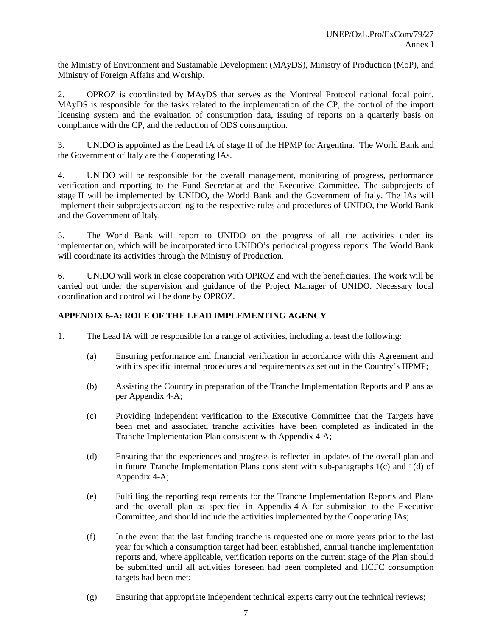the Ministry of Environment and Sustainable Development (MAyDS), Ministry of Production (MoP), and Ministry of Foreign Affairs and Worship.

2. OPROZ is coordinated by MAyDS that serves as the Montreal Protocol national focal point. MAyDS is responsible for the tasks related to the implementation of the CP, the control of the import licensing system and the evaluation of consumption data, issuing of reports on a quarterly basis on compliance with the CP, and the reduction of ODS consumption.

3. UNIDO is appointed as the Lead IA of stage II of the HPMP for Argentina. The World Bank and the Government of Italy are the Cooperating IAs.

4. UNIDO will be responsible for the overall management, monitoring of progress, performance verification and reporting to the Fund Secretariat and the Executive Committee. The subprojects of stage II will be implemented by UNIDO, the World Bank and the Government of Italy. The IAs will implement their subprojects according to the respective rules and procedures of UNIDO, the World Bank and the Government of Italy.

5. The World Bank will report to UNIDO on the progress of all the activities under its implementation, which will be incorporated into UNIDO's periodical progress reports. The World Bank will coordinate its activities through the Ministry of Production.

6. UNIDO will work in close cooperation with OPROZ and with the beneficiaries. The work will be carried out under the supervision and guidance of the Project Manager of UNIDO. Necessary local coordination and control will be done by OPROZ.

## **APPENDIX 6-A: ROLE OF THE LEAD IMPLEMENTING AGENCY**

- 1. The Lead IA will be responsible for a range of activities, including at least the following:
	- (a) Ensuring performance and financial verification in accordance with this Agreement and with its specific internal procedures and requirements as set out in the Country's HPMP;
	- (b) Assisting the Country in preparation of the Tranche Implementation Reports and Plans as per Appendix 4-A;
	- (c) Providing independent verification to the Executive Committee that the Targets have been met and associated tranche activities have been completed as indicated in the Tranche Implementation Plan consistent with Appendix 4-A;
	- (d) Ensuring that the experiences and progress is reflected in updates of the overall plan and in future Tranche Implementation Plans consistent with sub-paragraphs 1(c) and 1(d) of Appendix 4-A;
	- (e) Fulfilling the reporting requirements for the Tranche Implementation Reports and Plans and the overall plan as specified in Appendix 4-A for submission to the Executive Committee, and should include the activities implemented by the Cooperating IAs;
	- (f) In the event that the last funding tranche is requested one or more years prior to the last year for which a consumption target had been established, annual tranche implementation reports and, where applicable, verification reports on the current stage of the Plan should be submitted until all activities foreseen had been completed and HCFC consumption targets had been met;
	- (g) Ensuring that appropriate independent technical experts carry out the technical reviews;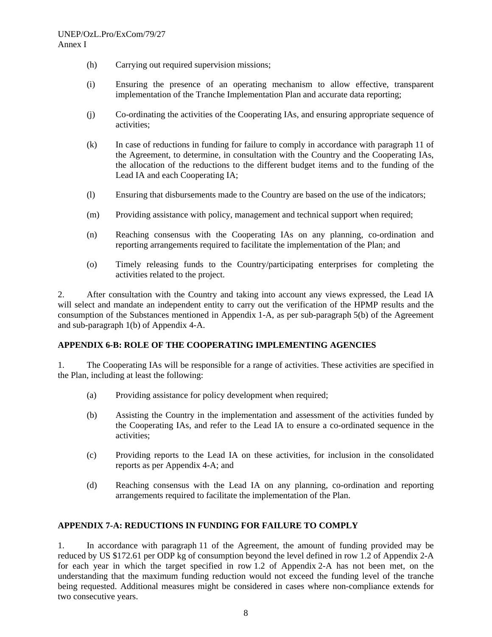- (h) Carrying out required supervision missions;
- (i) Ensuring the presence of an operating mechanism to allow effective, transparent implementation of the Tranche Implementation Plan and accurate data reporting;
- (j) Co-ordinating the activities of the Cooperating IAs, and ensuring appropriate sequence of activities;
- (k) In case of reductions in funding for failure to comply in accordance with paragraph 11 of the Agreement, to determine, in consultation with the Country and the Cooperating IAs, the allocation of the reductions to the different budget items and to the funding of the Lead IA and each Cooperating IA;
- (l) Ensuring that disbursements made to the Country are based on the use of the indicators;
- (m) Providing assistance with policy, management and technical support when required;
- (n) Reaching consensus with the Cooperating IAs on any planning, co-ordination and reporting arrangements required to facilitate the implementation of the Plan; and
- (o) Timely releasing funds to the Country/participating enterprises for completing the activities related to the project.

2. After consultation with the Country and taking into account any views expressed, the Lead IA will select and mandate an independent entity to carry out the verification of the HPMP results and the consumption of the Substances mentioned in Appendix 1-A, as per sub-paragraph 5(b) of the Agreement and sub-paragraph 1(b) of Appendix 4-A.

## **APPENDIX 6-B: ROLE OF THE COOPERATING IMPLEMENTING AGENCIES**

1. The Cooperating IAs will be responsible for a range of activities. These activities are specified in the Plan, including at least the following:

- (a) Providing assistance for policy development when required;
- (b) Assisting the Country in the implementation and assessment of the activities funded by the Cooperating IAs, and refer to the Lead IA to ensure a co-ordinated sequence in the activities;
- (c) Providing reports to the Lead IA on these activities, for inclusion in the consolidated reports as per Appendix 4-A; and
- (d) Reaching consensus with the Lead IA on any planning, co-ordination and reporting arrangements required to facilitate the implementation of the Plan.

#### **APPENDIX 7-A: REDUCTIONS IN FUNDING FOR FAILURE TO COMPLY**

1. In accordance with paragraph 11 of the Agreement, the amount of funding provided may be reduced by US \$172.61 per ODP kg of consumption beyond the level defined in row 1.2 of Appendix 2-A for each year in which the target specified in row 1.2 of Appendix 2-A has not been met, on the understanding that the maximum funding reduction would not exceed the funding level of the tranche being requested. Additional measures might be considered in cases where non-compliance extends for two consecutive years.